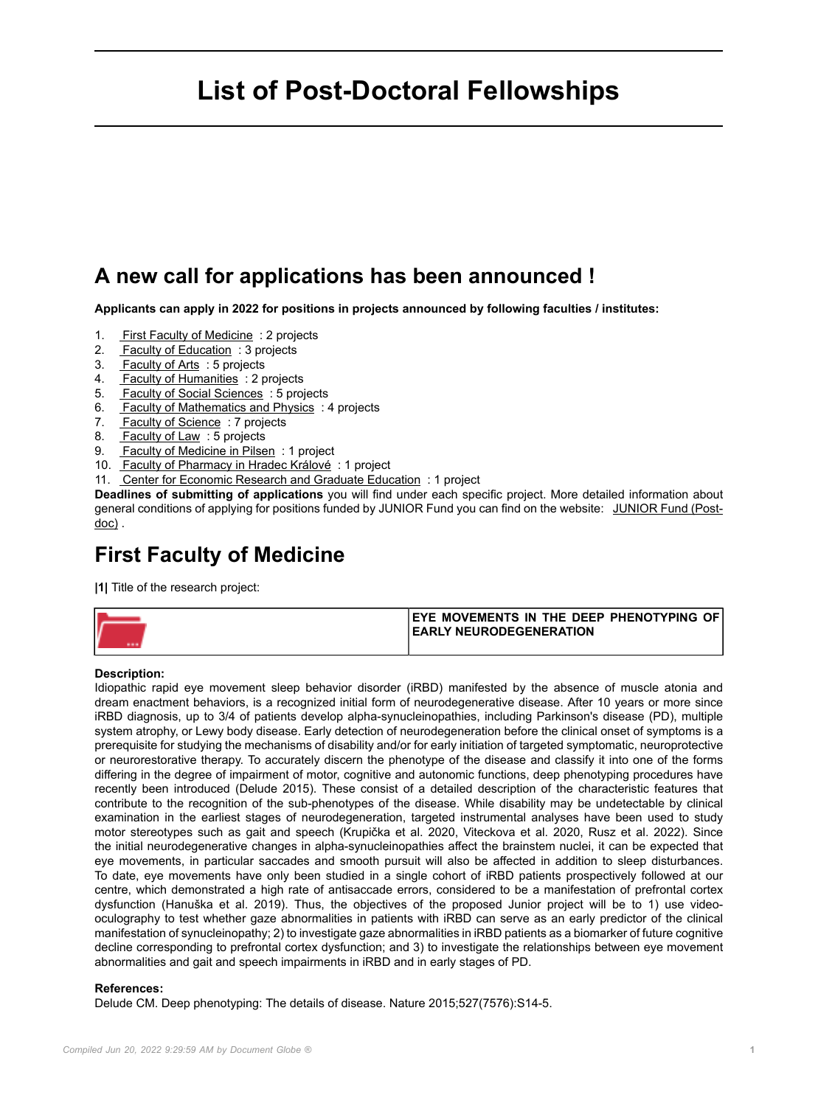# **List of Post-Doctoral Fellowships**

## **A new call for applications has been announced !**

**Applicants can apply in 2022 for positions in projects announced by following faculties / institutes:**

- 1. First Faculty of Medicine : 2 projects
- 2. Faculty of Education : 3 projects
- 3. Faculty of Arts : 5 projects
- 4. Faculty of Humanities : 2 projects
- 5. Faculty of Social Sciences : 5 projects
- 6. Faculty of Mathematics and Physics : 4 projects
- 7. Faculty of Science: 7 projects
- 8. Faculty of Law: 5 projects
- 9. Faculty of Medicine in Pilsen : 1 project
- 10. Faculty of Pharmacy in Hradec Králové : 1 project
- 11. Center for Economic Research and Graduate Education : 1 project

**Deadlines of submitting of applications** you will find under each specific project. More detailed information about general conditions of applying for positions funded by JUNIOR Fund you can find on the website: [JUNIOR Fund \(Post](https://cuni.cz/UKEN-178.html)[doc\)](https://cuni.cz/UKEN-178.html) .

## **First Faculty of Medicine**

**|1|** Title of the research project:

| <b>IEYE MOVEMENTS IN THE DEEP PHENOTYPING OF!</b> |
|---------------------------------------------------|
| <b>IEARLY NEURODEGENERATION</b>                   |
|                                                   |

#### **Description:**

Idiopathic rapid eye movement sleep behavior disorder (iRBD) manifested by the absence of muscle atonia and dream enactment behaviors, is a recognized initial form of neurodegenerative disease. After 10 years or more since iRBD diagnosis, up to 3/4 of patients develop alpha-synucleinopathies, including Parkinson's disease (PD), multiple system atrophy, or Lewy body disease. Early detection of neurodegeneration before the clinical onset of symptoms is a prerequisite for studying the mechanisms of disability and/or for early initiation of targeted symptomatic, neuroprotective or neurorestorative therapy. To accurately discern the phenotype of the disease and classify it into one of the forms differing in the degree of impairment of motor, cognitive and autonomic functions, deep phenotyping procedures have recently been introduced (Delude 2015). These consist of a detailed description of the characteristic features that contribute to the recognition of the sub-phenotypes of the disease. While disability may be undetectable by clinical examination in the earliest stages of neurodegeneration, targeted instrumental analyses have been used to study motor stereotypes such as gait and speech (Krupička et al. 2020, Viteckova et al. 2020, Rusz et al. 2022). Since the initial neurodegenerative changes in alpha-synucleinopathies affect the brainstem nuclei, it can be expected that eye movements, in particular saccades and smooth pursuit will also be affected in addition to sleep disturbances. To date, eye movements have only been studied in a single cohort of iRBD patients prospectively followed at our centre, which demonstrated a high rate of antisaccade errors, considered to be a manifestation of prefrontal cortex dysfunction (Hanuška et al. 2019). Thus, the objectives of the proposed Junior project will be to 1) use videooculography to test whether gaze abnormalities in patients with iRBD can serve as an early predictor of the clinical manifestation of synucleinopathy; 2) to investigate gaze abnormalities in iRBD patients as a biomarker of future cognitive decline corresponding to prefrontal cortex dysfunction; and 3) to investigate the relationships between eye movement abnormalities and gait and speech impairments in iRBD and in early stages of PD.

#### **References:**

Delude CM. Deep phenotyping: The details of disease. Nature 2015;527(7576):S14-5.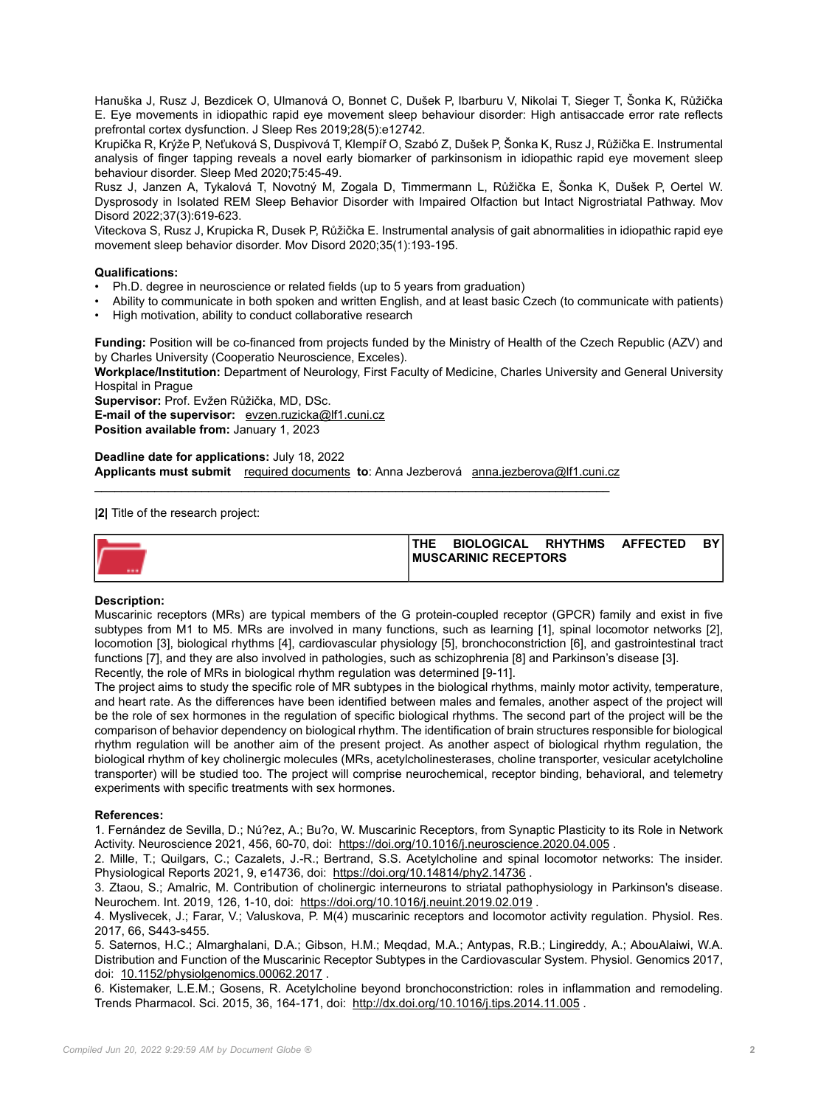Hanuška J, Rusz J, Bezdicek O, Ulmanová O, Bonnet C, Dušek P, Ibarburu V, Nikolai T, Sieger T, Šonka K, Růžička E. Eye movements in idiopathic rapid eye movement sleep behaviour disorder: High antisaccade error rate reflects prefrontal cortex dysfunction. J Sleep Res 2019;28(5):e12742.

Krupička R, Krýže P, Neťuková S, Duspivová T, Klempíř O, Szabó Z, Dušek P, Šonka K, Rusz J, Růžička E. Instrumental analysis of finger tapping reveals a novel early biomarker of parkinsonism in idiopathic rapid eye movement sleep behaviour disorder. Sleep Med 2020;75:45-49.

Rusz J, Janzen A, Tykalová T, Novotný M, Zogala D, Timmermann L, Růžička E, Šonka K, Dušek P, Oertel W. Dysprosody in Isolated REM Sleep Behavior Disorder with Impaired Olfaction but Intact Nigrostriatal Pathway. Mov Disord 2022;37(3):619-623.

Viteckova S, Rusz J, Krupicka R, Dusek P, Růžička E. Instrumental analysis of gait abnormalities in idiopathic rapid eye movement sleep behavior disorder. Mov Disord 2020;35(1):193-195.

### **Qualifications:**

- Ph.D. degree in neuroscience or related fields (up to 5 years from graduation)
- Ability to communicate in both spoken and written English, and at least basic Czech (to communicate with patients)
- High motivation, ability to conduct collaborative research

**Funding:** Position will be co-financed from projects funded by the Ministry of Health of the Czech Republic (AZV) and by Charles University (Cooperatio Neuroscience, Exceles).

**Workplace/Institution:** Department of Neurology, First Faculty of Medicine, Charles University and General University Hospital in Prague

**Supervisor:** Prof. Evžen Růžička, MD, DSc.

**E-mail of the supervisor:** [evzen.ruzicka@lf1.cuni.cz](mailto:evzen.ruzicka@lf1.cuni.cz)

**Position available from:** January 1, 2023

#### **Deadline date for applications:** July 18, 2022 **Applicants must submit** [required documents](https://cuni.cz/UKEN-178.html#10) **to**: Anna Jezberová [anna.jezberova@lf1.cuni.cz](mailto:anna.jezberova@lf1.cuni.cz)

\_\_\_\_\_\_\_\_\_\_\_\_\_\_\_\_\_\_\_\_\_\_\_\_\_\_\_\_\_\_\_\_\_\_\_\_\_\_\_\_\_\_\_\_\_\_\_\_\_\_\_\_\_\_\_\_\_\_\_\_\_\_\_\_\_\_\_\_\_\_\_\_\_\_\_\_\_

**|2|** Title of the research project:

|   | <b>THE</b>                   | <b>BIOLOGICAL</b> | <b>RHYTHMS</b> | <b>AFFECTED</b> | DV. |  |  |
|---|------------------------------|-------------------|----------------|-----------------|-----|--|--|
| V | <b>IMUSCARINIC RECEPTORS</b> |                   |                |                 |     |  |  |
|   |                              |                   |                |                 |     |  |  |

### **Description:**

Muscarinic receptors (MRs) are typical members of the G protein-coupled receptor (GPCR) family and exist in five subtypes from M1 to M5. MRs are involved in many functions, such as learning [1], spinal locomotor networks [2], locomotion [3], biological rhythms [4], cardiovascular physiology [5], bronchoconstriction [6], and gastrointestinal tract functions [7], and they are also involved in pathologies, such as schizophrenia [8] and Parkinson's disease [3].

Recently, the role of MRs in biological rhythm regulation was determined [9-11].

The project aims to study the specific role of MR subtypes in the biological rhythms, mainly motor activity, temperature, and heart rate. As the differences have been identified between males and females, another aspect of the project will be the role of sex hormones in the regulation of specific biological rhythms. The second part of the project will be the comparison of behavior dependency on biological rhythm. The identification of brain structures responsible for biological rhythm regulation will be another aim of the present project. As another aspect of biological rhythm regulation, the biological rhythm of key cholinergic molecules (MRs, acetylcholinesterases, choline transporter, vesicular acetylcholine transporter) will be studied too. The project will comprise neurochemical, receptor binding, behavioral, and telemetry experiments with specific treatments with sex hormones.

### **References:**

1. Fernández de Sevilla, D.; Nú?ez, A.; Bu?o, W. Muscarinic Receptors, from Synaptic Plasticity to its Role in Network Activity. Neuroscience 2021, 456, 60-70, doi: <https://doi.org/10.1016/j.neuroscience.2020.04.005> .

2. Mille, T.; Quilgars, C.; Cazalets, J.-R.; Bertrand, S.S. Acetylcholine and spinal locomotor networks: The insider. Physiological Reports 2021, 9, e14736, doi: <https://doi.org/10.14814/phy2.14736> .

3. Ztaou, S.; Amalric, M. Contribution of cholinergic interneurons to striatal pathophysiology in Parkinson's disease. Neurochem. Int. 2019, 126, 1-10, doi: <https://doi.org/10.1016/j.neuint.2019.02.019> .

4. Myslivecek, J.; Farar, V.; Valuskova, P. M(4) muscarinic receptors and locomotor activity regulation. Physiol. Res. 2017, 66, S443-s455.

5. Saternos, H.C.; Almarghalani, D.A.; Gibson, H.M.; Meqdad, M.A.; Antypas, R.B.; Lingireddy, A.; AbouAlaiwi, W.A. Distribution and Function of the Muscarinic Receptor Subtypes in the Cardiovascular System. Physiol. Genomics 2017, doi: [10.1152/physiolgenomics.00062.2017](http://10.1152/physiolgenomics.00062.2017) .

6. Kistemaker, L.E.M.; Gosens, R. Acetylcholine beyond bronchoconstriction: roles in inflammation and remodeling. Trends Pharmacol. Sci. 2015, 36, 164-171, doi: <http://dx.doi.org/10.1016/j.tips.2014.11.005> .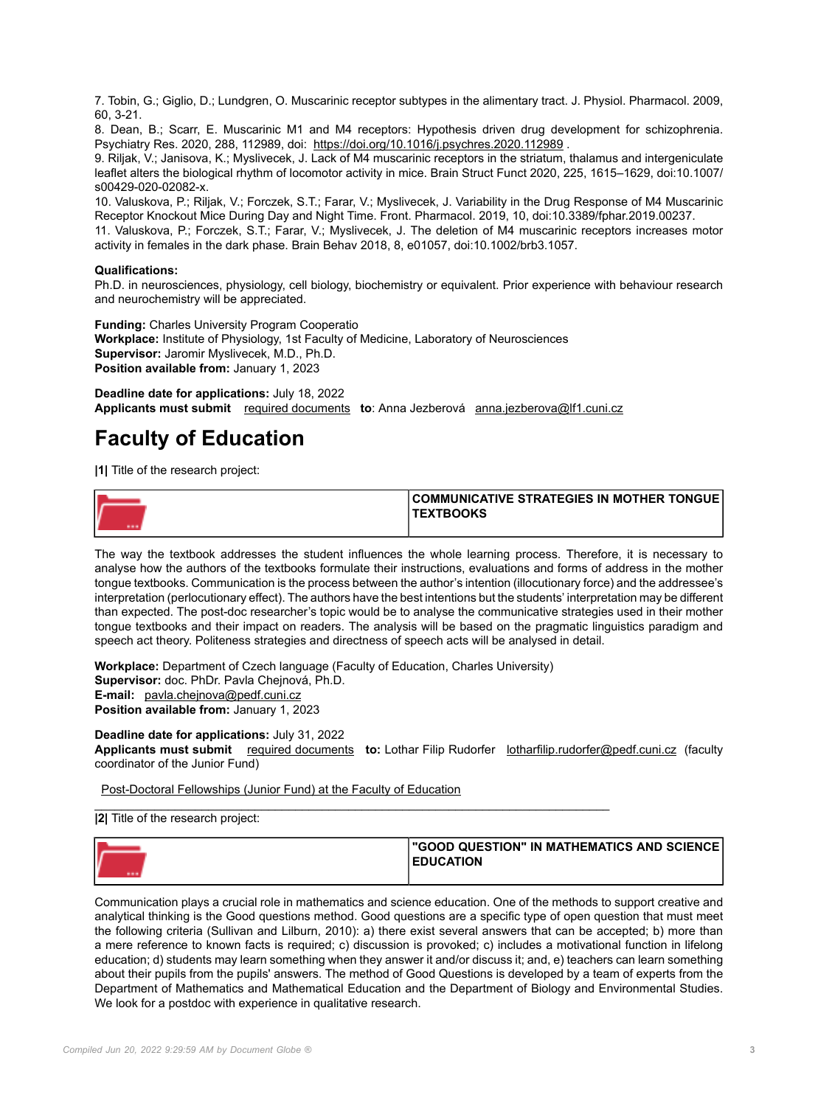7. Tobin, G.; Giglio, D.; Lundgren, O. Muscarinic receptor subtypes in the alimentary tract. J. Physiol. Pharmacol. 2009, 60, 3-21.

8. Dean, B.; Scarr, E. Muscarinic M1 and M4 receptors: Hypothesis driven drug development for schizophrenia. Psychiatry Res. 2020, 288, 112989, doi: <https://doi.org/10.1016/j.psychres.2020.112989> .

9. Riljak, V.; Janisova, K.; Myslivecek, J. Lack of M4 muscarinic receptors in the striatum, thalamus and intergeniculate leaflet alters the biological rhythm of locomotor activity in mice. Brain Struct Funct 2020, 225, 1615–1629, doi:10.1007/ s00429-020-02082-x.

10. Valuskova, P.; Riljak, V.; Forczek, S.T.; Farar, V.; Myslivecek, J. Variability in the Drug Response of M4 Muscarinic Receptor Knockout Mice During Day and Night Time. Front. Pharmacol. 2019, 10, doi:10.3389/fphar.2019.00237.

11. Valuskova, P.; Forczek, S.T.; Farar, V.; Myslivecek, J. The deletion of M4 muscarinic receptors increases motor activity in females in the dark phase. Brain Behav 2018, 8, e01057, doi:10.1002/brb3.1057.

## **Qualifications:**

Ph.D. in neurosciences, physiology, cell biology, biochemistry or equivalent. Prior experience with behaviour research and neurochemistry will be appreciated.

**Funding:** Charles University Program Cooperatio **Workplace:** Institute of Physiology, 1st Faculty of Medicine, Laboratory of Neurosciences **Supervisor:** Jaromir Myslivecek, M.D., Ph.D. **Position available from:** January 1, 2023

**Deadline date for applications:** July 18, 2022 **Applicants must submit** [required documents](https://cuni.cz/UKEN-178.html#10) **to**: Anna Jezberová [anna.jezberova@lf1.cuni.cz](mailto:anna.jezberova@lf1.cuni.cz)

## **Faculty of Education**

**|1|** Title of the research project:



The way the textbook addresses the student influences the whole learning process. Therefore, it is necessary to analyse how the authors of the textbooks formulate their instructions, evaluations and forms of address in the mother tongue textbooks. Communication is the process between the author's intention (illocutionary force) and the addressee's interpretation (perlocutionary effect). The authors have the best intentions but the students' interpretation may be different than expected. The post-doc researcher's topic would be to analyse the communicative strategies used in their mother tongue textbooks and their impact on readers. The analysis will be based on the pragmatic linguistics paradigm and speech act theory. Politeness strategies and directness of speech acts will be analysed in detail.

**Workplace:** Department of Czech language (Faculty of Education, Charles University) **Supervisor:** doc. PhDr. Pavla Chejnová, Ph.D. **E-mail:** [pavla.chejnova@pedf.cuni.cz](mailto:pavla.chejnova@pedf.cuni.cz) **Position available from:** January 1, 2023

\_\_\_\_\_\_\_\_\_\_\_\_\_\_\_\_\_\_\_\_\_\_\_\_\_\_\_\_\_\_\_\_\_\_\_\_\_\_\_\_\_\_\_\_\_\_\_\_\_\_\_\_\_\_\_\_\_\_\_\_\_\_\_\_\_\_\_\_\_\_\_\_\_\_\_\_\_

## **Deadline date for applications:** July 31, 2022

**Applicants must submit** [required documents](https://cuni.cz/UKEN-178.html#10) **to:** Lothar Filip Rudorfer [lotharfilip.rudorfer@pedf.cuni.cz](mailto:lotharfilip.rudorfer@pedf.cuni.cz) (faculty coordinator of the Junior Fund)

[Post-Doctoral Fellowships \(Junior Fund\) at the Faculty of Education](https://pedf.cuni.cz/PEDFEN-218.html)

**|2|** Title of the research project:

| --- | l"GOOD QUESTION" IN MATHEMATICS AND SCIENCE<br><b>EDUCATION</b> |
|-----|-----------------------------------------------------------------|
|     |                                                                 |

Communication plays a crucial role in mathematics and science education. One of the methods to support creative and analytical thinking is the Good questions method. Good questions are a specific type of open question that must meet the following criteria (Sullivan and Lilburn, 2010): a) there exist several answers that can be accepted; b) more than a mere reference to known facts is required; c) discussion is provoked; c) includes a motivational function in lifelong education; d) students may learn something when they answer it and/or discuss it; and, e) teachers can learn something about their pupils from the pupils' answers. The method of Good Questions is developed by a team of experts from the Department of Mathematics and Mathematical Education and the Department of Biology and Environmental Studies. We look for a postdoc with experience in qualitative research.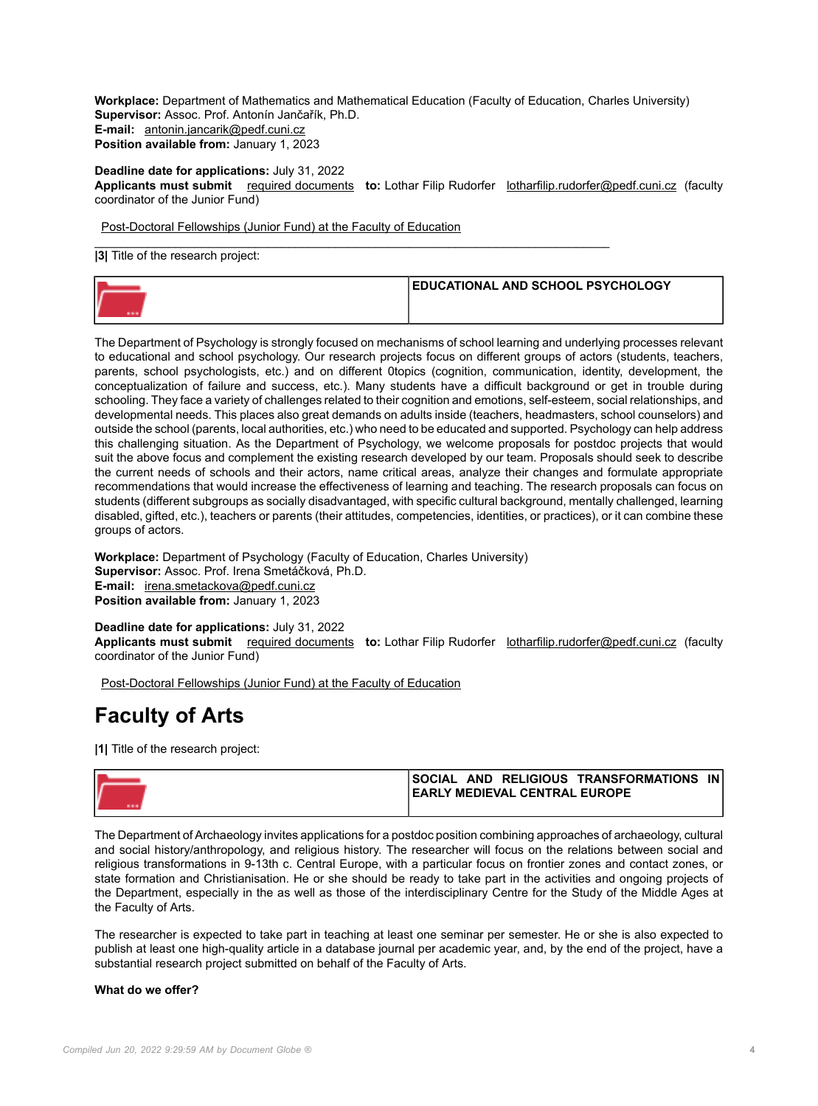**Workplace:** Department of Mathematics and Mathematical Education (Faculty of Education, Charles University) **Supervisor:** Assoc. Prof. Antonín Jančařík, Ph.D. **E-mail:** [antonin.jancarik@pedf.cuni.cz](mailto:antonin.jancarik@pedf.cuni.cz) **Position available from:** January 1, 2023

**Deadline date for applications:** July 31, 2022 **Applicants must submit** [required documents](https://cuni.cz/UKEN-178.html#10) **to:** Lothar Filip Rudorfer [lotharfilip.rudorfer@pedf.cuni.cz](mailto:lotharfilip.rudorfer@pedf.cuni.cz) (faculty coordinator of the Junior Fund)

[Post-Doctoral Fellowships \(Junior Fund\) at the Faculty of Education](https://pedf.cuni.cz/PEDFEN-218.html)

**|3|** Title of the research project:



\_\_\_\_\_\_\_\_\_\_\_\_\_\_\_\_\_\_\_\_\_\_\_\_\_\_\_\_\_\_\_\_\_\_\_\_\_\_\_\_\_\_\_\_\_\_\_\_\_\_\_\_\_\_\_\_\_\_\_\_\_\_\_\_\_\_\_\_\_\_\_\_\_\_\_\_\_

The Department of Psychology is strongly focused on mechanisms of school learning and underlying processes relevant to educational and school psychology. Our research projects focus on different groups of actors (students, teachers, parents, school psychologists, etc.) and on different 0topics (cognition, communication, identity, development, the conceptualization of failure and success, etc.). Many students have a difficult background or get in trouble during schooling. They face a variety of challenges related to their cognition and emotions, self-esteem, social relationships, and developmental needs. This places also great demands on adults inside (teachers, headmasters, school counselors) and outside the school (parents, local authorities, etc.) who need to be educated and supported. Psychology can help address this challenging situation. As the Department of Psychology, we welcome proposals for postdoc projects that would suit the above focus and complement the existing research developed by our team. Proposals should seek to describe the current needs of schools and their actors, name critical areas, analyze their changes and formulate appropriate recommendations that would increase the effectiveness of learning and teaching. The research proposals can focus on students (different subgroups as socially disadvantaged, with specific cultural background, mentally challenged, learning disabled, gifted, etc.), teachers or parents (their attitudes, competencies, identities, or practices), or it can combine these groups of actors.

**Workplace:** Department of Psychology (Faculty of Education, Charles University) **Supervisor:** Assoc. Prof. Irena Smetáčková, Ph.D. **E-mail:** [irena.smetackova@pedf.cuni.cz](mailto:irena.smetackova@pedf.cuni.cz) **Position available from:** January 1, 2023

**Deadline date for applications:** July 31, 2022 **Applicants must submit** [required documents](https://cuni.cz/UKEN-178.html#10) **to:** Lothar Filip Rudorfer [lotharfilip.rudorfer@pedf.cuni.cz](mailto:lotharfilip.rudorfer@pedf.cuni.cz) (faculty coordinator of the Junior Fund)

[Post-Doctoral Fellowships \(Junior Fund\) at the Faculty of Education](https://pedf.cuni.cz/PEDFEN-218.html)

## **Faculty of Arts**

**|1|** Title of the research project:

| <b>ISOCIAL AND RELIGIOUS TRANSFORMATIONS</b><br>IN I |
|------------------------------------------------------|
| <b>IEARLY MEDIEVAL CENTRAL EUROPE</b>                |
|                                                      |

The Department of Archaeology invites applications for a postdoc position combining approaches of archaeology, cultural and social history/anthropology, and religious history. The researcher will focus on the relations between social and religious transformations in 9-13th c. Central Europe, with a particular focus on frontier zones and contact zones, or state formation and Christianisation. He or she should be ready to take part in the activities and ongoing projects of the Department, especially in the as well as those of the interdisciplinary Centre for the Study of the Middle Ages at the Faculty of Arts.

The researcher is expected to take part in teaching at least one seminar per semester. He or she is also expected to publish at least one high-quality article in a database journal per academic year, and, by the end of the project, have a substantial research project submitted on behalf of the Faculty of Arts.

### **What do we offer?**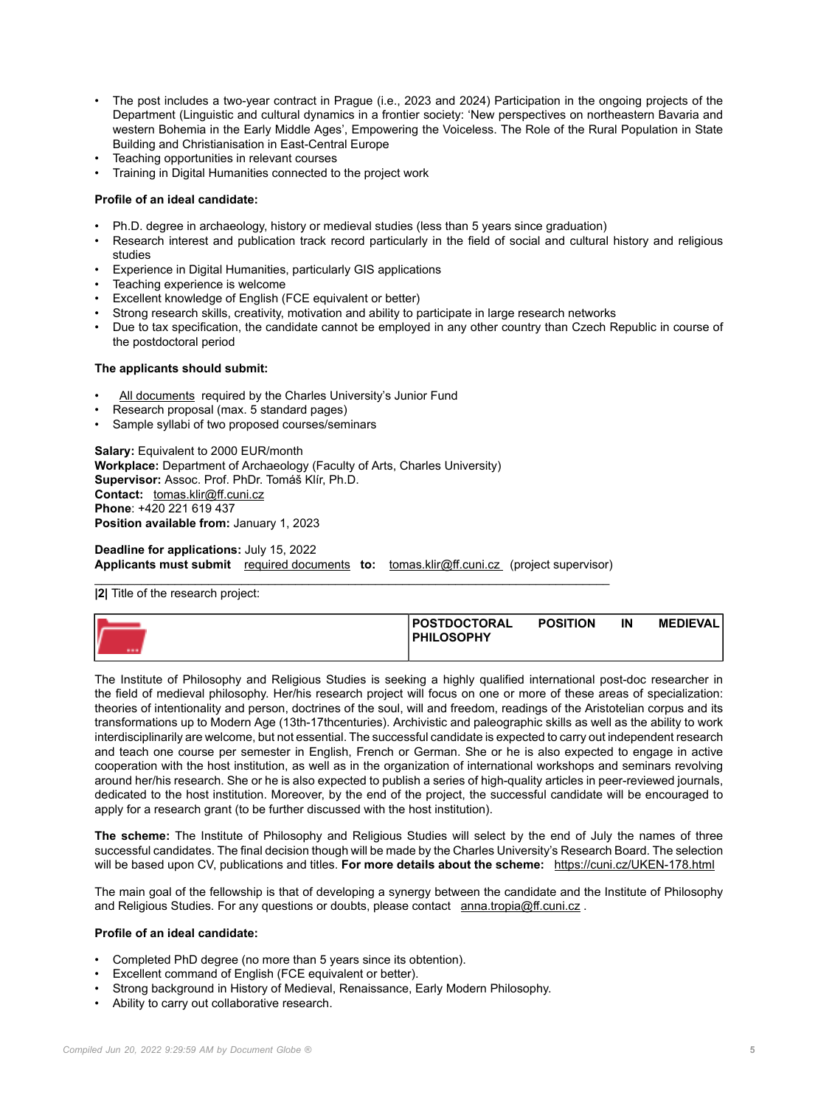- The post includes a two-year contract in Prague (i.e., 2023 and 2024) Participation in the ongoing projects of the Department (Linguistic and cultural dynamics in a frontier society: 'New perspectives on northeastern Bavaria and western Bohemia in the Early Middle Ages', Empowering the Voiceless. The Role of the Rural Population in State Building and Christianisation in East-Central Europe
- Teaching opportunities in relevant courses
- Training in Digital Humanities connected to the project work

## **Profile of an ideal candidate:**

- Ph.D. degree in archaeology, history or medieval studies (less than 5 years since graduation)
- Research interest and publication track record particularly in the field of social and cultural history and religious studies
- Experience in Digital Humanities, particularly GIS applications
- Teaching experience is welcome
- Excellent knowledge of English (FCE equivalent or better)
- Strong research skills, creativity, motivation and ability to participate in large research networks
- Due to tax specification, the candidate cannot be employed in any other country than Czech Republic in course of the postdoctoral period

### **The applicants should submit:**

- [All documents](https://cuni.cz/UKEN-178.html#10) required by the Charles University's Junior Fund
- Research proposal (max. 5 standard pages)
- Sample syllabi of two proposed courses/seminars

**Salary: Equivalent to 2000 EUR/month Workplace:** Department of Archaeology (Faculty of Arts, Charles University) **Supervisor:** Assoc. Prof. PhDr. Tomáš Klír, Ph.D. **Contact:** [tomas.klir@ff.cuni.cz](mailto:tomas.klir@ff.cuni.cz) **Phone**: +420 221 619 437 **Position available from:** January 1, 2023

**Deadline for applications:** July 15, 2022 Applicants must submit [required documents](https://cuni.cz/UKEN-178.html#10) to: [tomas.klir@ff.cuni.cz](mailto:tomas.klir@ff.cuni.cz) (project supervisor)

 $\_$  , and the set of the set of the set of the set of the set of the set of the set of the set of the set of the set of the set of the set of the set of the set of the set of the set of the set of the set of the set of th **|2|** Title of the research project:

|  | <b>IPOSTDOCTORAL</b><br><b>PHILOSOPHY</b> | <b>POSITION</b> | IN | <b>MEDIEVALI</b> |
|--|-------------------------------------------|-----------------|----|------------------|
|  |                                           |                 |    |                  |

The Institute of Philosophy and Religious Studies is seeking a highly qualified international post-doc researcher in the field of medieval philosophy. Her/his research project will focus on one or more of these areas of specialization: theories of intentionality and person, doctrines of the soul, will and freedom, readings of the Aristotelian corpus and its transformations up to Modern Age (13th-17thcenturies). Archivistic and paleographic skills as well as the ability to work interdisciplinarily are welcome, but not essential. The successful candidate is expected to carry out independent research and teach one course per semester in English, French or German. She or he is also expected to engage in active cooperation with the host institution, as well as in the organization of international workshops and seminars revolving around her/his research. She or he is also expected to publish a series of high-quality articles in peer-reviewed journals, dedicated to the host institution. Moreover, by the end of the project, the successful candidate will be encouraged to apply for a research grant (to be further discussed with the host institution).

**The scheme:** The Institute of Philosophy and Religious Studies will select by the end of July the names of three successful candidates. The final decision though will be made by the Charles University's Research Board. The selection will be based upon CV, publications and titles. **For more details about the scheme:** <https://cuni.cz/UKEN-178.html>

The main goal of the fellowship is that of developing a synergy between the candidate and the Institute of Philosophy and Religious Studies. For any questions or doubts, please contact [anna.tropia@ff.cuni.cz](mailto:anna.tropia@ff.cuni.cz) .

### **Profile of an ideal candidate:**

- Completed PhD degree (no more than 5 years since its obtention).
- Excellent command of English (FCE equivalent or better).
- Strong background in History of Medieval, Renaissance, Early Modern Philosophy.
- Ability to carry out collaborative research.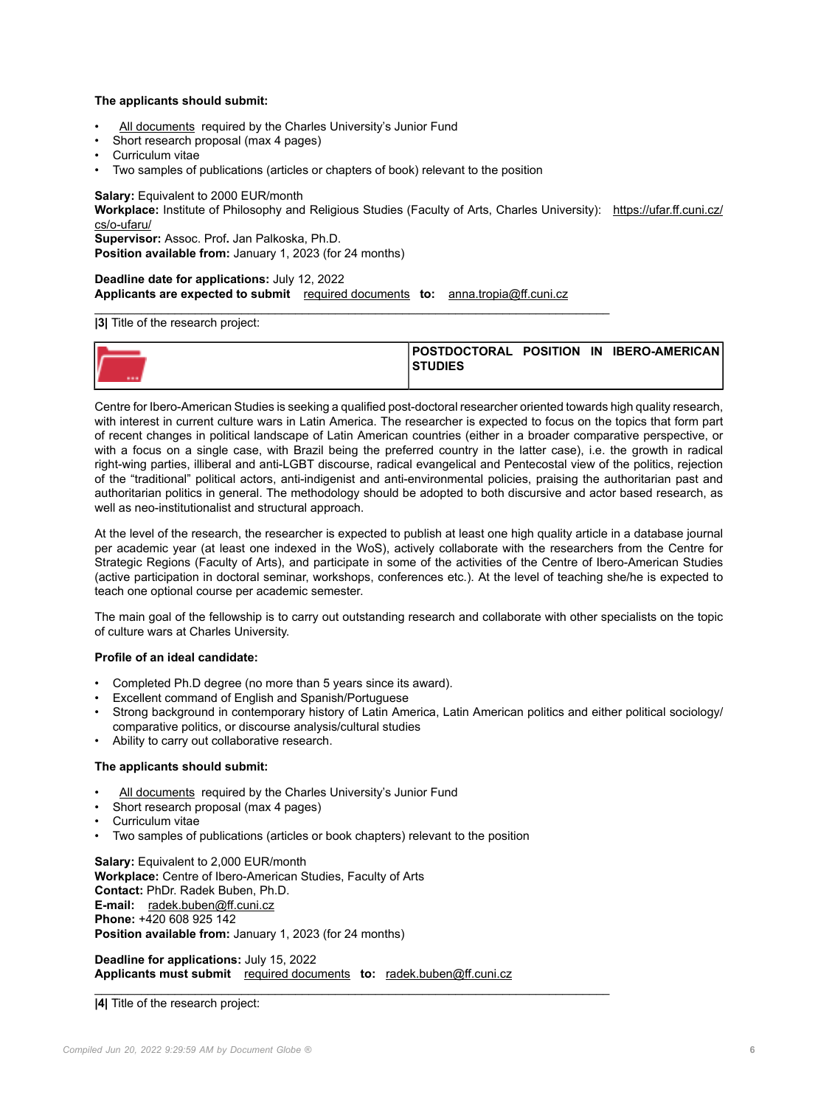## **The applicants should submit:**

- [All documents](https://cuni.cz/UKEN-178.html#10) required by the Charles University's Junior Fund
- Short research proposal (max 4 pages)
- Curriculum vitae
- Two samples of publications (articles or chapters of book) relevant to the position

**Salary:** Equivalent to 2000 EUR/month

**Workplace:** Institute of Philosophy and Religious Studies (Faculty of Arts, Charles University): [https://ufar.ff.cuni.cz/](https://ufar.ff.cuni.cz/cs/o-ufaru/) [cs/o-ufaru/](https://ufar.ff.cuni.cz/cs/o-ufaru/)

**Supervisor:** Assoc. Prof**.** Jan Palkoska, Ph.D.

**Position available from:** January 1, 2023 (for 24 months)

**Deadline date for applications:** July 12, 2022 **Applicants are expected to submit** [required documents](https://cuni.cz/UKEN-178.html#10) **to:** [anna.tropia@ff.cuni.cz](mailto:anna.tropia@ff.cuni.cz)

#### $\_$  , and the set of the set of the set of the set of the set of the set of the set of the set of the set of the set of the set of the set of the set of the set of the set of the set of the set of the set of the set of th **|3|** Title of the research project:

|  | <b>STUDIES</b> |  | POSTDOCTORAL POSITION IN IBERO-AMERICANI |
|--|----------------|--|------------------------------------------|
|  |                |  |                                          |

Centre for Ibero-American Studies is seeking a qualified post-doctoral researcher oriented towards high quality research, with interest in current culture wars in Latin America. The researcher is expected to focus on the topics that form part of recent changes in political landscape of Latin American countries (either in a broader comparative perspective, or with a focus on a single case, with Brazil being the preferred country in the latter case), i.e. the growth in radical right-wing parties, illiberal and anti-LGBT discourse, radical evangelical and Pentecostal view of the politics, rejection of the "traditional" political actors, anti-indigenist and anti-environmental policies, praising the authoritarian past and authoritarian politics in general. The methodology should be adopted to both discursive and actor based research, as well as neo-institutionalist and structural approach.

At the level of the research, the researcher is expected to publish at least one high quality article in a database journal per academic year (at least one indexed in the WoS), actively collaborate with the researchers from the Centre for Strategic Regions (Faculty of Arts), and participate in some of the activities of the Centre of Ibero-American Studies (active participation in doctoral seminar, workshops, conferences etc.). At the level of teaching she/he is expected to teach one optional course per academic semester.

The main goal of the fellowship is to carry out outstanding research and collaborate with other specialists on the topic of culture wars at Charles University.

### **Profile of an ideal candidate:**

- Completed Ph.D degree (no more than 5 years since its award).
- Excellent command of English and Spanish/Portuguese
- Strong background in contemporary history of Latin America, Latin American politics and either political sociology/ comparative politics, or discourse analysis/cultural studies
- Ability to carry out collaborative research.

### **The applicants should submit:**

- [All documents](https://cuni.cz/UKEN-178.html#10) required by the Charles University's Junior Fund
- Short research proposal (max 4 pages)
- Curriculum vitae
- Two samples of publications (articles or book chapters) relevant to the position

**Salary:** Equivalent to 2,000 EUR/month **Workplace:** Centre of Ibero-American Studies, Faculty of Arts **Contact:** PhDr. Radek Buben, Ph.D. **E-mail:** [radek.buben@ff.cuni.cz](mailto:radek.buben@ff.cuni.cz) **Phone:** +420 608 925 142 **Position available from:** January 1, 2023 (for 24 months)

**Deadline for applications:** July 15, 2022 **Applicants must submit** [required documents](https://cuni.cz/UKEN-178.html#10) **to:** [radek.buben@ff.cuni.cz](mailto:radek.buben@ff.cuni.cz)

 $\_$  , and the set of the set of the set of the set of the set of the set of the set of the set of the set of the set of the set of the set of the set of the set of the set of the set of the set of the set of the set of th **|4|** Title of the research project: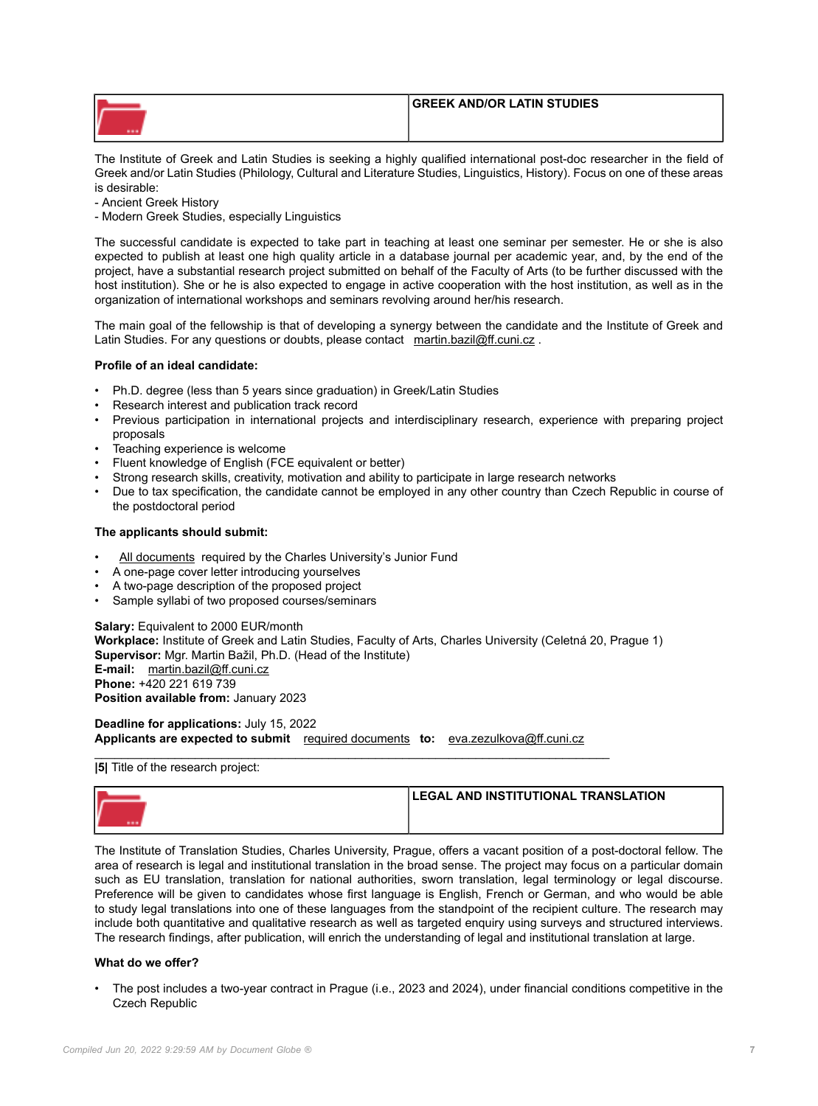| <b>GREEK AND/OR LATIN STUDIES</b> |
|-----------------------------------|
|                                   |
|                                   |

The Institute of Greek and Latin Studies is seeking a highly qualified international post-doc researcher in the field of Greek and/or Latin Studies (Philology, Cultural and Literature Studies, Linguistics, History). Focus on one of these areas is desirable:

- Ancient Greek History

- Modern Greek Studies, especially Linguistics

The successful candidate is expected to take part in teaching at least one seminar per semester. He or she is also expected to publish at least one high quality article in a database journal per academic year, and, by the end of the project, have a substantial research project submitted on behalf of the Faculty of Arts (to be further discussed with the host institution). She or he is also expected to engage in active cooperation with the host institution, as well as in the organization of international workshops and seminars revolving around her/his research.

The main goal of the fellowship is that of developing a synergy between the candidate and the Institute of Greek and Latin Studies. For any questions or doubts, please contact [martin.bazil@ff.cuni.cz](mailto:martin.bazil@ff.cuni.cz).

## **Profile of an ideal candidate:**

- Ph.D. degree (less than 5 years since graduation) in Greek/Latin Studies
- Research interest and publication track record
- Previous participation in international projects and interdisciplinary research, experience with preparing project proposals
- Teaching experience is welcome
- Fluent knowledge of English (FCE equivalent or better)
- Strong research skills, creativity, motivation and ability to participate in large research networks
- Due to tax specification, the candidate cannot be employed in any other country than Czech Republic in course of the postdoctoral period

## **The applicants should submit:**

- [All documents](https://cuni.cz/UKEN-178.html) required by the Charles University's Junior Fund
- A one-page cover letter introducing yourselves
- A two-page description of the proposed project
- Sample syllabi of two proposed courses/seminars

**Salary:** Equivalent to 2000 EUR/month **Workplace:** Institute of Greek and Latin Studies, Faculty of Arts, Charles University (Celetná 20, Prague 1) **Supervisor:** Mgr. Martin Bažil, Ph.D. (Head of the Institute) **E-mail:** [martin.bazil@ff.cuni.cz](mailto:martin.bazil@ff.cuni.cz) **Phone:** +420 221 619 739 **Position available from:** January 2023

**Deadline for applications:** July 15, 2022 **Applicants are expected to submit** [required documents](https://cuni.cz/UKEN-178.html#10) **to:** [eva.zezulkova@ff.cuni.cz](mailto:eva.zezulkova@ff.cuni.cz)

\_\_\_\_\_\_\_\_\_\_\_\_\_\_\_\_\_\_\_\_\_\_\_\_\_\_\_\_\_\_\_\_\_\_\_\_\_\_\_\_\_\_\_\_\_\_\_\_\_\_\_\_\_\_\_\_\_\_\_\_\_\_\_\_\_\_\_\_\_\_\_\_\_\_\_\_\_ **|5|** Title of the research project:

| LEGAL AND INSTITUTIONAL TRANSLATION |
|-------------------------------------|
|                                     |

The Institute of Translation Studies, Charles University, Prague, offers a vacant position of a post-doctoral fellow. The area of research is legal and institutional translation in the broad sense. The project may focus on a particular domain such as EU translation, translation for national authorities, sworn translation, legal terminology or legal discourse. Preference will be given to candidates whose first language is English, French or German, and who would be able to study legal translations into one of these languages from the standpoint of the recipient culture. The research may include both quantitative and qualitative research as well as targeted enquiry using surveys and structured interviews. The research findings, after publication, will enrich the understanding of legal and institutional translation at large.

## **What do we offer?**

• The post includes a two-year contract in Prague (i.e., 2023 and 2024), under financial conditions competitive in the Czech Republic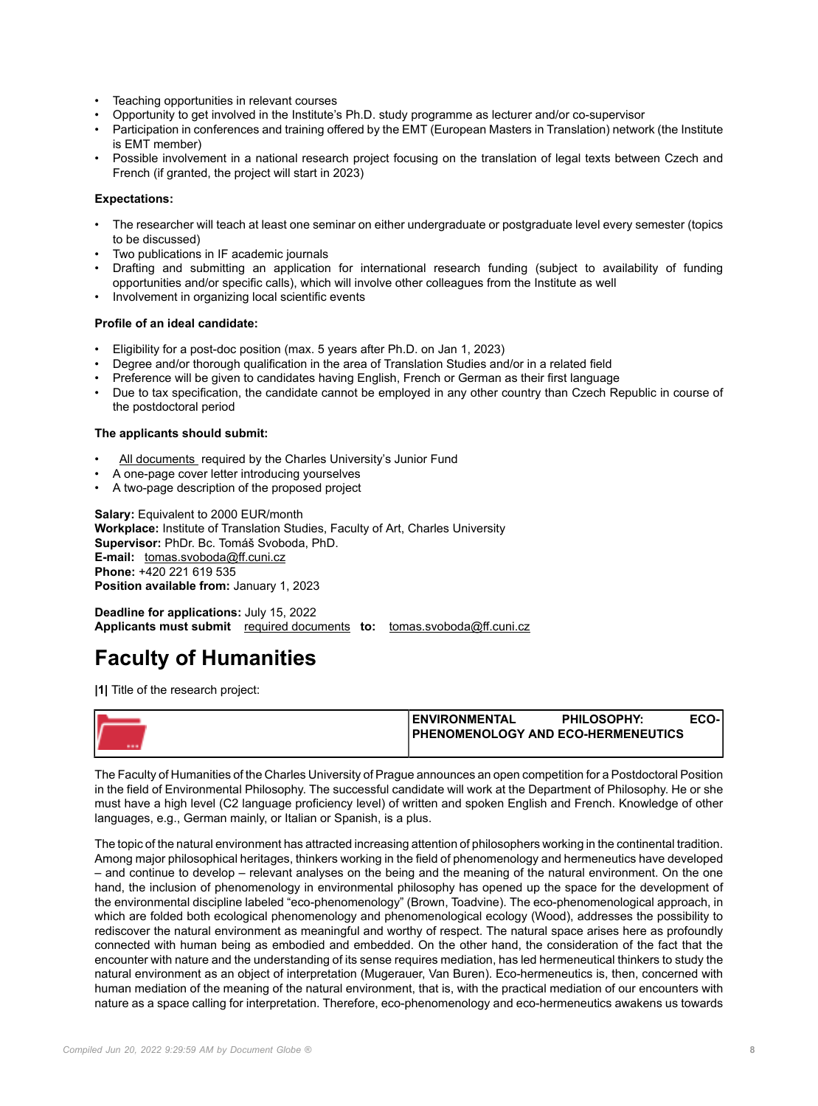- Teaching opportunities in relevant courses
- Opportunity to get involved in the Institute's Ph.D. study programme as lecturer and/or co-supervisor
- Participation in conferences and training offered by the EMT (European Masters in Translation) network (the Institute is EMT member)
- Possible involvement in a national research project focusing on the translation of legal texts between Czech and French (if granted, the project will start in 2023)

## **Expectations:**

- The researcher will teach at least one seminar on either undergraduate or postgraduate level every semester (topics to be discussed)
- Two publications in IF academic journals
- Drafting and submitting an application for international research funding (subject to availability of funding opportunities and/or specific calls), which will involve other colleagues from the Institute as well
- Involvement in organizing local scientific events

### **Profile of an ideal candidate:**

- Eligibility for a post-doc position (max. 5 years after Ph.D. on Jan 1, 2023)
- Degree and/or thorough qualification in the area of Translation Studies and/or in a related field
- Preference will be given to candidates having English, French or German as their first language
- Due to tax specification, the candidate cannot be employed in any other country than Czech Republic in course of the postdoctoral period

#### **The applicants should submit:**

- [All documents r](https://cuni.cz/UKEN-178.html#10)equired by the Charles University's Junior Fund
- A one-page cover letter introducing yourselves
- A two-page description of the proposed project

**Salary: Equivalent to 2000 EUR/month Workplace:** Institute of Translation Studies, Faculty of Art, Charles University **Supervisor:** PhDr. Bc. Tomáš Svoboda, PhD. **E-mail:** [tomas.svoboda@ff.cuni.cz](mailto:tomas.svoboda@ff.cuni.cz) **Phone:** +420 221 619 535 **Position available from:** January 1, 2023

**Deadline for applications:** July 15, 2022 **Applicants must submit** [required documents](https://cuni.cz/UKEN-178.html#10) **to:** [tomas.svoboda@ff.cuni.cz](mailto:tomas.svoboda@ff.cuni.cz)

## **Faculty of Humanities**

**|1|** Title of the research project:

| <b>ENVIRONMENTAL</b>                      | <b>PHILOSOPHY:</b> | ECO- |
|-------------------------------------------|--------------------|------|
| <b>PHENOMENOLOGY AND ECO-HERMENEUTICS</b> |                    |      |
|                                           |                    |      |

The Faculty of Humanities of the Charles University of Prague announces an open competition for a Postdoctoral Position in the field of Environmental Philosophy. The successful candidate will work at the Department of Philosophy. He or she must have a high level (C2 language proficiency level) of written and spoken English and French. Knowledge of other languages, e.g., German mainly, or Italian or Spanish, is a plus.

The topic of the natural environment has attracted increasing attention of philosophers working in the continental tradition. Among major philosophical heritages, thinkers working in the field of phenomenology and hermeneutics have developed – and continue to develop – relevant analyses on the being and the meaning of the natural environment. On the one hand, the inclusion of phenomenology in environmental philosophy has opened up the space for the development of the environmental discipline labeled "eco-phenomenology" (Brown, Toadvine). The eco-phenomenological approach, in which are folded both ecological phenomenology and phenomenological ecology (Wood), addresses the possibility to rediscover the natural environment as meaningful and worthy of respect. The natural space arises here as profoundly connected with human being as embodied and embedded. On the other hand, the consideration of the fact that the encounter with nature and the understanding of its sense requires mediation, has led hermeneutical thinkers to study the natural environment as an object of interpretation (Mugerauer, Van Buren). Eco-hermeneutics is, then, concerned with human mediation of the meaning of the natural environment, that is, with the practical mediation of our encounters with nature as a space calling for interpretation. Therefore, eco-phenomenology and eco-hermeneutics awakens us towards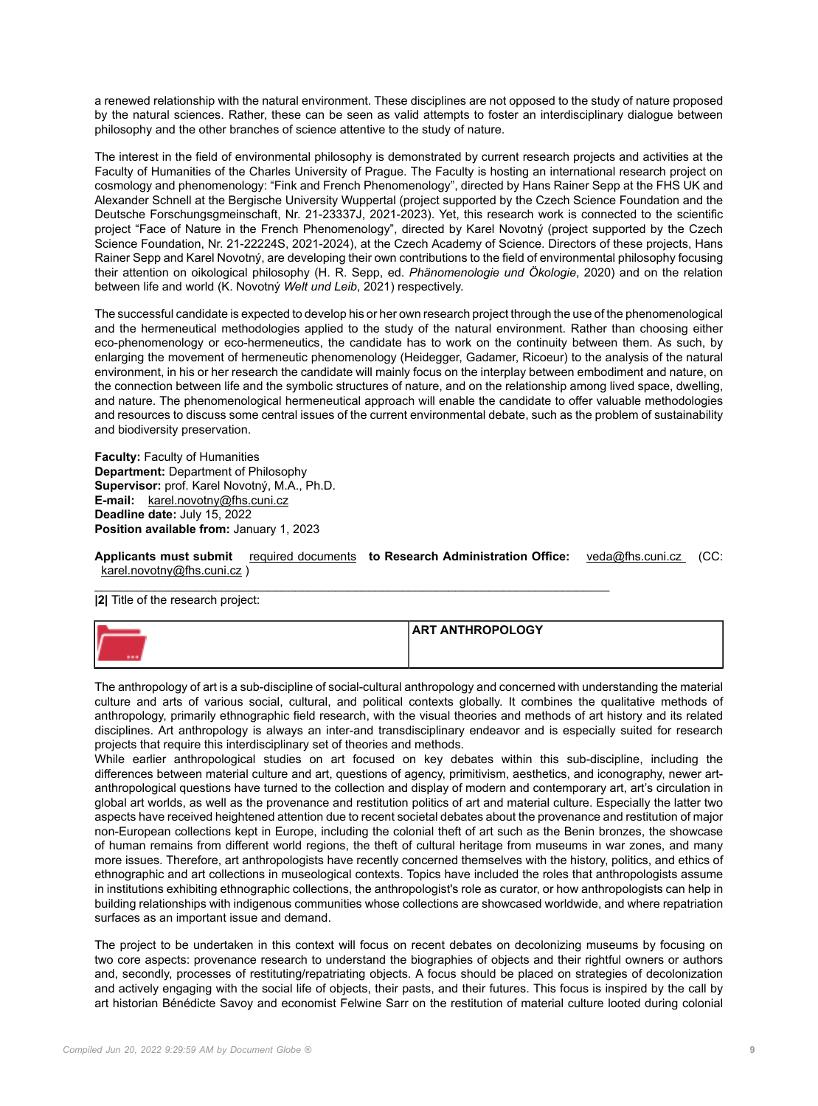a renewed relationship with the natural environment. These disciplines are not opposed to the study of nature proposed by the natural sciences. Rather, these can be seen as valid attempts to foster an interdisciplinary dialogue between philosophy and the other branches of science attentive to the study of nature.

The interest in the field of environmental philosophy is demonstrated by current research projects and activities at the Faculty of Humanities of the Charles University of Prague. The Faculty is hosting an international research project on cosmology and phenomenology: "Fink and French Phenomenology", directed by Hans Rainer Sepp at the FHS UK and Alexander Schnell at the Bergische University Wuppertal (project supported by the Czech Science Foundation and the Deutsche Forschungsgmeinschaft, Nr. 21-23337J, 2021-2023). Yet, this research work is connected to the scientific project "Face of Nature in the French Phenomenology", directed by Karel Novotný (project supported by the Czech Science Foundation, Nr. 21-22224S, 2021-2024), at the Czech Academy of Science. Directors of these projects, Hans Rainer Sepp and Karel Novotný, are developing their own contributions to the field of environmental philosophy focusing their attention on oikological philosophy (H. R. Sepp, ed. *Phänomenologie und Ökologie*, 2020) and on the relation between life and world (K. Novotný *Welt und Leib*, 2021) respectively.

The successful candidate is expected to develop his or her own research project through the use of the phenomenological and the hermeneutical methodologies applied to the study of the natural environment. Rather than choosing either eco-phenomenology or eco-hermeneutics, the candidate has to work on the continuity between them. As such, by enlarging the movement of hermeneutic phenomenology (Heidegger, Gadamer, Ricoeur) to the analysis of the natural environment, in his or her research the candidate will mainly focus on the interplay between embodiment and nature, on the connection between life and the symbolic structures of nature, and on the relationship among lived space, dwelling, and nature. The phenomenological hermeneutical approach will enable the candidate to offer valuable methodologies and resources to discuss some central issues of the current environmental debate, such as the problem of sustainability and biodiversity preservation.

**Faculty: Faculty of Humanities Department:** Department of Philosophy **Supervisor:** prof. Karel Novotný, M.A., Ph.D. **E-mail:** [karel.novotny@fhs.cuni.cz](mailto:karel.novotny@fhs.cuni.cz) **Deadline date:** July 15, 2022 **Position available from:** January 1, 2023

**Applicants must submit** [required documents](https://cuni.cz/UKEN-178.html#10) **to Research Administration Office:** [veda@fhs.cuni.cz](mailto:veda@fhs.cuni.cz) (CC: [karel.novotny@fhs.cuni.cz](mailto:karel.novotny@fhs.cuni.cz) )

 $\_$  , and the set of the set of the set of the set of the set of the set of the set of the set of the set of the set of the set of the set of the set of the set of the set of the set of the set of the set of the set of th

**|2|** Title of the research project:



The anthropology of art is a sub-discipline of social-cultural anthropology and concerned with understanding the material culture and arts of various social, cultural, and political contexts globally. It combines the qualitative methods of anthropology, primarily ethnographic field research, with the visual theories and methods of art history and its related disciplines. Art anthropology is always an inter-and transdisciplinary endeavor and is especially suited for research projects that require this interdisciplinary set of theories and methods.

While earlier anthropological studies on art focused on key debates within this sub-discipline, including the differences between material culture and art, questions of agency, primitivism, aesthetics, and iconography, newer artanthropological questions have turned to the collection and display of modern and contemporary art, art's circulation in global art worlds, as well as the provenance and restitution politics of art and material culture. Especially the latter two aspects have received heightened attention due to recent societal debates about the provenance and restitution of major non-European collections kept in Europe, including the colonial theft of art such as the Benin bronzes, the showcase of human remains from different world regions, the theft of cultural heritage from museums in war zones, and many more issues. Therefore, art anthropologists have recently concerned themselves with the history, politics, and ethics of ethnographic and art collections in museological contexts. Topics have included the roles that anthropologists assume in institutions exhibiting ethnographic collections, the anthropologist's role as curator, or how anthropologists can help in building relationships with indigenous communities whose collections are showcased worldwide, and where repatriation surfaces as an important issue and demand.

The project to be undertaken in this context will focus on recent debates on decolonizing museums by focusing on two core aspects: provenance research to understand the biographies of objects and their rightful owners or authors and, secondly, processes of restituting/repatriating objects. A focus should be placed on strategies of decolonization and actively engaging with the social life of objects, their pasts, and their futures. This focus is inspired by the call by art historian Bénédicte Savoy and economist Felwine Sarr on the restitution of material culture looted during colonial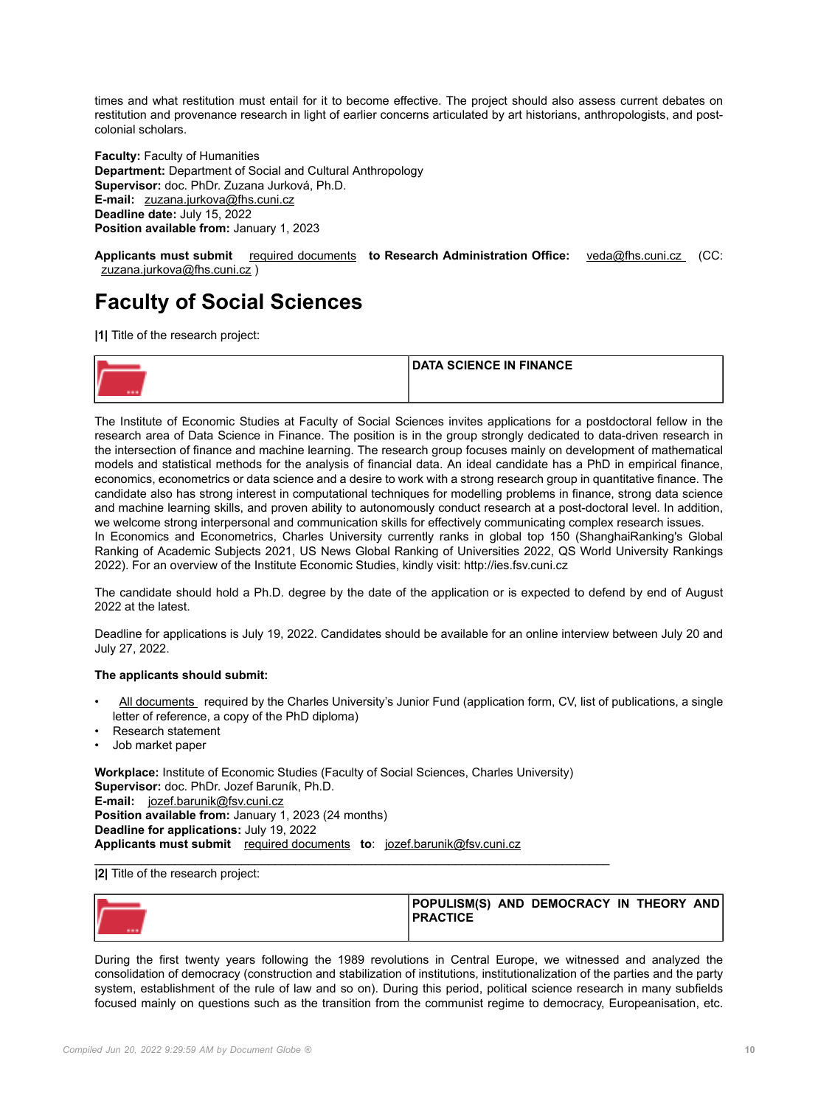times and what restitution must entail for it to become effective. The project should also assess current debates on restitution and provenance research in light of earlier concerns articulated by art historians, anthropologists, and postcolonial scholars.

**Faculty:** Faculty of Humanities **Department:** Department of Social and Cultural Anthropology **Supervisor:** doc. PhDr. Zuzana Jurková, Ph.D. **E-mail:** [zuzana.jurkova@fhs.cuni.cz](mailto:zuzana.jurkova@fhs.cuni.cz) **Deadline date:** July 15, 2022 **Position available from:** January 1, 2023

**Applicants must submit** [required documents](https://cuni.cz/UKEN-178.html#10) **to Research Administration Office:** [veda@fhs.cuni.cz](mailto:veda@fhs.cuni.cz) (CC: [zuzana.jurkova@fhs.cuni.cz](mailto:zuzana.jurkova@fhs.cuni.cz) )

## **Faculty of Social Sciences**

**|1|** Title of the research project:

| <b>DATA SCIENCE IN FINANCE</b> |
|--------------------------------|
|                                |

The Institute of Economic Studies at Faculty of Social Sciences invites applications for a postdoctoral fellow in the research area of Data Science in Finance. The position is in the group strongly dedicated to data-driven research in the intersection of finance and machine learning. The research group focuses mainly on development of mathematical models and statistical methods for the analysis of financial data. An ideal candidate has a PhD in empirical finance, economics, econometrics or data science and a desire to work with a strong research group in quantitative finance. The candidate also has strong interest in computational techniques for modelling problems in finance, strong data science and machine learning skills, and proven ability to autonomously conduct research at a post-doctoral level. In addition, we welcome strong interpersonal and communication skills for effectively communicating complex research issues. In Economics and Econometrics, Charles University currently ranks in global top 150 (ShanghaiRanking's Global Ranking of Academic Subjects 2021, US News Global Ranking of Universities 2022, QS World University Rankings 2022). For an overview of the Institute Economic Studies, kindly visit: http://ies.fsv.cuni.cz

The candidate should hold a Ph.D. degree by the date of the application or is expected to defend by end of August 2022 at the latest.

Deadline for applications is July 19, 2022. Candidates should be available for an online interview between July 20 and July 27, 2022.

## **The applicants should submit:**

- [All documents](https://cuni.cz/UKEN-178.html#10) required by the Charles University's Junior Fund (application form, CV, list of publications, a single letter of reference, a copy of the PhD diploma)
- Research statement
- Job market paper

**Workplace:** Institute of Economic Studies (Faculty of Social Sciences, Charles University) **Supervisor:** doc. PhDr. Jozef Baruník, Ph.D. **E-mail:** [jozef.barunik@fsv.cuni.cz](mailto:jozef.barunik@fsv.cuni.cz) **Position available from:** January 1, 2023 (24 months) **Deadline for applications:** July 19, 2022 **Applicants must submit** [required documents](https://cuni.cz/UKEN-178.html#10) **to**: [jozef.barunik@fsv.cuni.cz](mailto:jozef.barunik@fsv.cuni.cz)

 $\_$  , and the set of the set of the set of the set of the set of the set of the set of the set of the set of the set of the set of the set of the set of the set of the set of the set of the set of the set of the set of th

## **|2|** Title of the research project:

| <b>POPULISM(S) AND DEMOCRACY IN THEORY AND</b><br><b>I PRACTICE</b> |  |  |
|---------------------------------------------------------------------|--|--|
|                                                                     |  |  |

During the first twenty years following the 1989 revolutions in Central Europe, we witnessed and analyzed the consolidation of democracy (construction and stabilization of institutions, institutionalization of the parties and the party system, establishment of the rule of law and so on). During this period, political science research in many subfields focused mainly on questions such as the transition from the communist regime to democracy, Europeanisation, etc.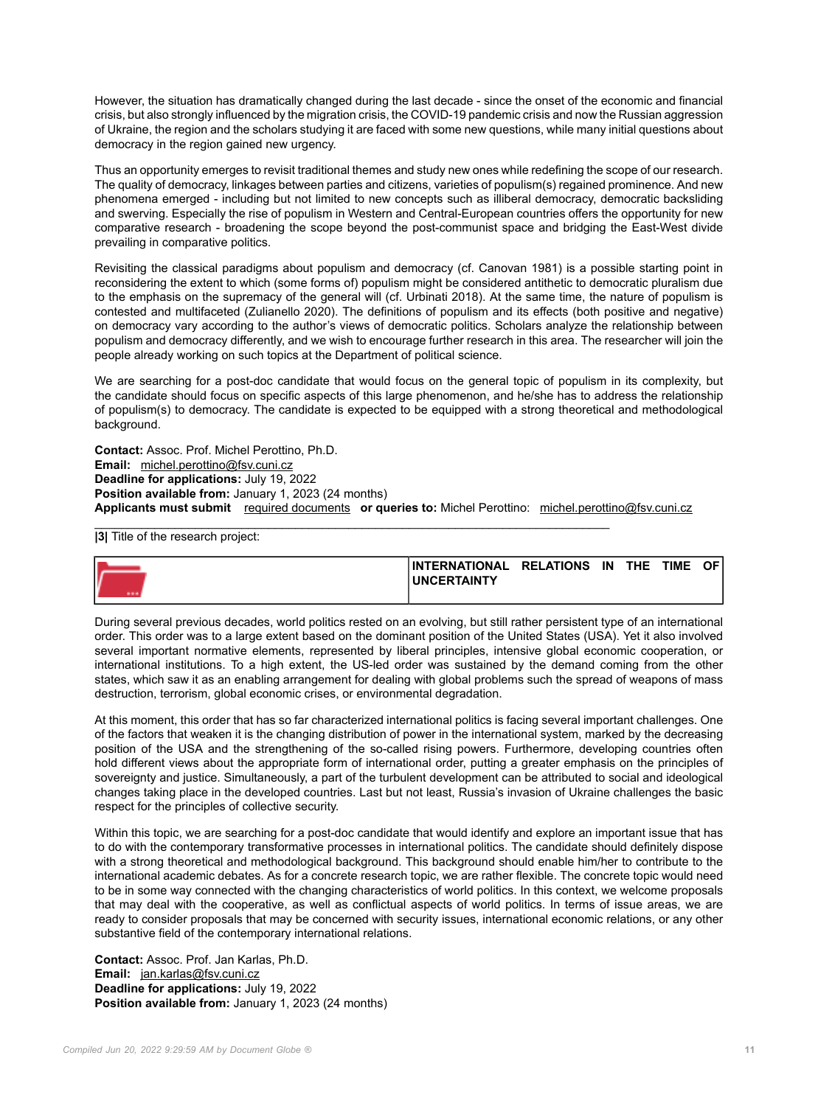However, the situation has dramatically changed during the last decade - since the onset of the economic and financial crisis, but also strongly influenced by the migration crisis, the COVID-19 pandemic crisis and now the Russian aggression of Ukraine, the region and the scholars studying it are faced with some new questions, while many initial questions about democracy in the region gained new urgency.

Thus an opportunity emerges to revisit traditional themes and study new ones while redefining the scope of our research. The quality of democracy, linkages between parties and citizens, varieties of populism(s) regained prominence. And new phenomena emerged - including but not limited to new concepts such as illiberal democracy, democratic backsliding and swerving. Especially the rise of populism in Western and Central-European countries offers the opportunity for new comparative research - broadening the scope beyond the post-communist space and bridging the East-West divide prevailing in comparative politics.

Revisiting the classical paradigms about populism and democracy (cf. Canovan 1981) is a possible starting point in reconsidering the extent to which (some forms of) populism might be considered antithetic to democratic pluralism due to the emphasis on the supremacy of the general will (cf. Urbinati 2018). At the same time, the nature of populism is contested and multifaceted (Zulianello 2020). The definitions of populism and its effects (both positive and negative) on democracy vary according to the author's views of democratic politics. Scholars analyze the relationship between populism and democracy differently, and we wish to encourage further research in this area. The researcher will join the people already working on such topics at the Department of political science.

We are searching for a post-doc candidate that would focus on the general topic of populism in its complexity, but the candidate should focus on specific aspects of this large phenomenon, and he/she has to address the relationship of populism(s) to democracy. The candidate is expected to be equipped with a strong theoretical and methodological background.

**Contact:** Assoc. Prof. Michel Perottino, Ph.D. **Email:** [michel.perottino@fsv.cuni.cz](mailto:michel.perottino@fsv.cuni.cz) **Deadline for applications:** July 19, 2022 **Position available from: January 1, 2023 (24 months) Applicants must submit** [required documents](https://cuni.cz/UKEN-178.html#10) **or queries to:** Michel Perottino: [michel.perottino@fsv.cuni.cz](mailto:michel.perottino@fsv.cuni.cz)

 $\_$  , and the set of the set of the set of the set of the set of the set of the set of the set of the set of the set of the set of the set of the set of the set of the set of the set of the set of the set of the set of th **|3|** Title of the research project:

| INTERNATIONAL RELATIONS | IN | <b>THE</b> | <b>TIME</b> | OF . |
|-------------------------|----|------------|-------------|------|
| <b>IUNCERTAINTY</b>     |    |            |             |      |
|                         |    |            |             |      |

During several previous decades, world politics rested on an evolving, but still rather persistent type of an international order. This order was to a large extent based on the dominant position of the United States (USA). Yet it also involved several important normative elements, represented by liberal principles, intensive global economic cooperation, or international institutions. To a high extent, the US-led order was sustained by the demand coming from the other states, which saw it as an enabling arrangement for dealing with global problems such the spread of weapons of mass destruction, terrorism, global economic crises, or environmental degradation.

At this moment, this order that has so far characterized international politics is facing several important challenges. One of the factors that weaken it is the changing distribution of power in the international system, marked by the decreasing position of the USA and the strengthening of the so-called rising powers. Furthermore, developing countries often hold different views about the appropriate form of international order, putting a greater emphasis on the principles of sovereignty and justice. Simultaneously, a part of the turbulent development can be attributed to social and ideological changes taking place in the developed countries. Last but not least, Russia's invasion of Ukraine challenges the basic respect for the principles of collective security.

Within this topic, we are searching for a post-doc candidate that would identify and explore an important issue that has to do with the contemporary transformative processes in international politics. The candidate should definitely dispose with a strong theoretical and methodological background. This background should enable him/her to contribute to the international academic debates. As for a concrete research topic, we are rather flexible. The concrete topic would need to be in some way connected with the changing characteristics of world politics. In this context, we welcome proposals that may deal with the cooperative, as well as conflictual aspects of world politics. In terms of issue areas, we are ready to consider proposals that may be concerned with security issues, international economic relations, or any other substantive field of the contemporary international relations.

**Contact:** Assoc. Prof. Jan Karlas, Ph.D. **Email:** [jan.karlas@fsv.cuni.cz](mailto:jan.karlas@fsv.cuni.cz) **Deadline for applications:** July 19, 2022 **Position available from:** January 1, 2023 (24 months)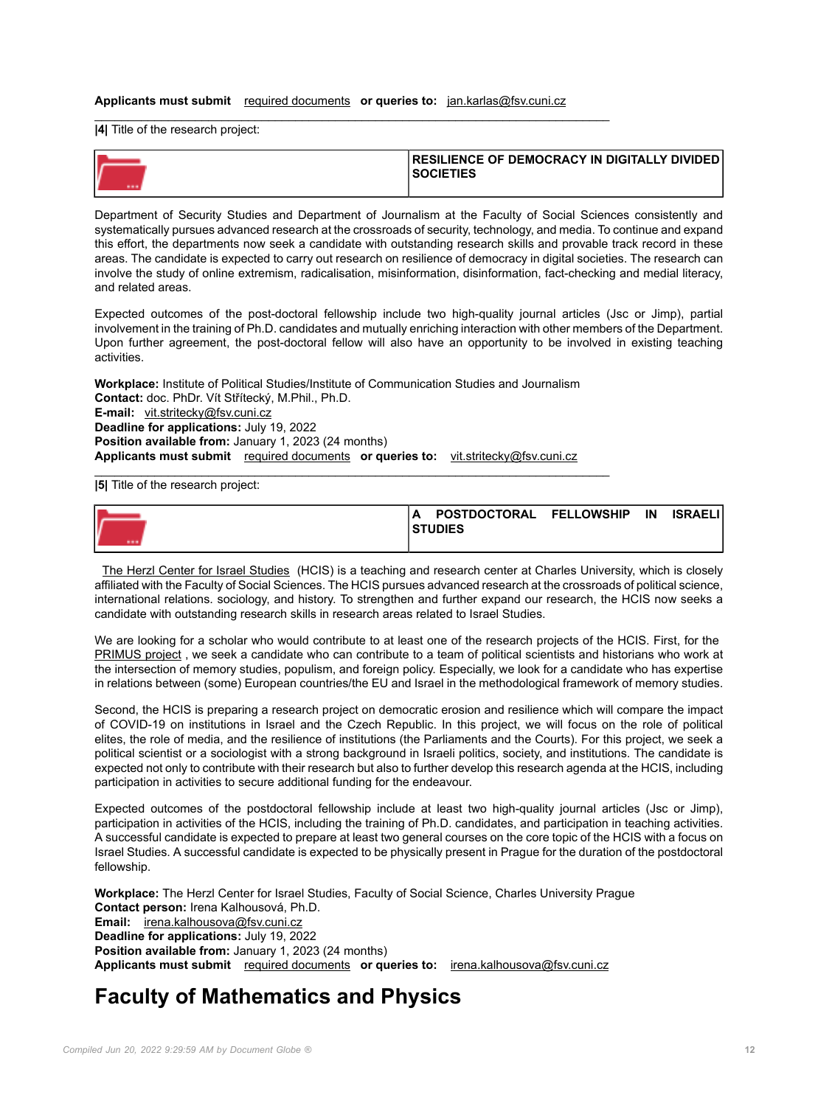## **Applicants must submit** [required documents](https://cuni.cz/UKEN-178.html#10) **or queries to:** [jan.karlas@fsv.cuni.cz](mailto:jan.karlas@fsv.cuni.cz)

\_\_\_\_\_\_\_\_\_\_\_\_\_\_\_\_\_\_\_\_\_\_\_\_\_\_\_\_\_\_\_\_\_\_\_\_\_\_\_\_\_\_\_\_\_\_\_\_\_\_\_\_\_\_\_\_\_\_\_\_\_\_\_\_\_\_\_\_\_\_\_\_\_\_\_\_\_

**|4|** Title of the research project:

| <b>IRESILIENCE OF DEMOCRACY IN DIGITALLY DIVIDED I</b><br><b>SOCIETIES</b> |
|----------------------------------------------------------------------------|
|                                                                            |

Department of Security Studies and Department of Journalism at the Faculty of Social Sciences consistently and systematically pursues advanced research at the crossroads of security, technology, and media. To continue and expand this effort, the departments now seek a candidate with outstanding research skills and provable track record in these areas. The candidate is expected to carry out research on resilience of democracy in digital societies. The research can involve the study of online extremism, radicalisation, misinformation, disinformation, fact-checking and medial literacy, and related areas.

Expected outcomes of the post-doctoral fellowship include two high-quality journal articles (Jsc or Jimp), partial involvement in the training of Ph.D. candidates and mutually enriching interaction with other members of the Department. Upon further agreement, the post-doctoral fellow will also have an opportunity to be involved in existing teaching activities.

**Workplace:** Institute of Political Studies/Institute of Communication Studies and Journalism **Contact:** doc. PhDr. Vít Střítecký, M.Phil., Ph.D. **E-mail:** [vit.stritecky@fsv.cuni.cz](mailto:vit.stritecky@fsv.cuni.cz) **Deadline for applications:** July 19, 2022 **Position available from:** January 1, 2023 (24 months) **Applicants must submit** [required documents](https://cuni.cz/UKEN-178.html#10) **or queries to:** [vit.stritecky@fsv.cuni.cz](mailto:vit.stritecky@fsv.cuni.cz)

 $\_$  , and the set of the set of the set of the set of the set of the set of the set of the set of the set of the set of the set of the set of the set of the set of the set of the set of the set of the set of the set of th

**|5|** Title of the research project:



[The Herzl Center for Israel Studies](https://herzl.cuni.cz/HERZL-1.html) (HCIS) is a teaching and research center at Charles University, which is closely affiliated with the Faculty of Social Sciences. The HCIS pursues advanced research at the crossroads of political science, international relations. sociology, and history. To strengthen and further expand our research, the HCIS now seeks a candidate with outstanding research skills in research areas related to Israel Studies.

We are looking for a scholar who would contribute to at least one of the research projects of the HCIS. First, for the [PRIMUS project](https://herzl.cuni.cz/HERZL-84.html) , we seek a candidate who can contribute to a team of political scientists and historians who work at the intersection of memory studies, populism, and foreign policy. Especially, we look for a candidate who has expertise in relations between (some) European countries/the EU and Israel in the methodological framework of memory studies.

Second, the HCIS is preparing a research project on democratic erosion and resilience which will compare the impact of COVID-19 on institutions in Israel and the Czech Republic. In this project, we will focus on the role of political elites, the role of media, and the resilience of institutions (the Parliaments and the Courts). For this project, we seek a political scientist or a sociologist with a strong background in Israeli politics, society, and institutions. The candidate is expected not only to contribute with their research but also to further develop this research agenda at the HCIS, including participation in activities to secure additional funding for the endeavour.

Expected outcomes of the postdoctoral fellowship include at least two high-quality journal articles (Jsc or Jimp), participation in activities of the HCIS, including the training of Ph.D. candidates, and participation in teaching activities. A successful candidate is expected to prepare at least two general courses on the core topic of the HCIS with a focus on Israel Studies. A successful candidate is expected to be physically present in Prague for the duration of the postdoctoral fellowship.

**Workplace:** The Herzl Center for Israel Studies, Faculty of Social Science, Charles University Prague **Contact person:** Irena Kalhousová, Ph.D. **Email:** [irena.kalhousova@fsv.cuni.cz](mailto:irena.kalhousova@fsv.cuni.cz) **Deadline for applications:** July 19, 2022 **Position available from: January 1, 2023 (24 months) Applicants must submit** [required documents](https://cuni.cz/UKEN-178.html#10) **or queries to:** [irena.kalhousova@fsv.cuni.cz](mailto:irena.kalhousova@fsv.cuni.cz)

## **Faculty of Mathematics and Physics**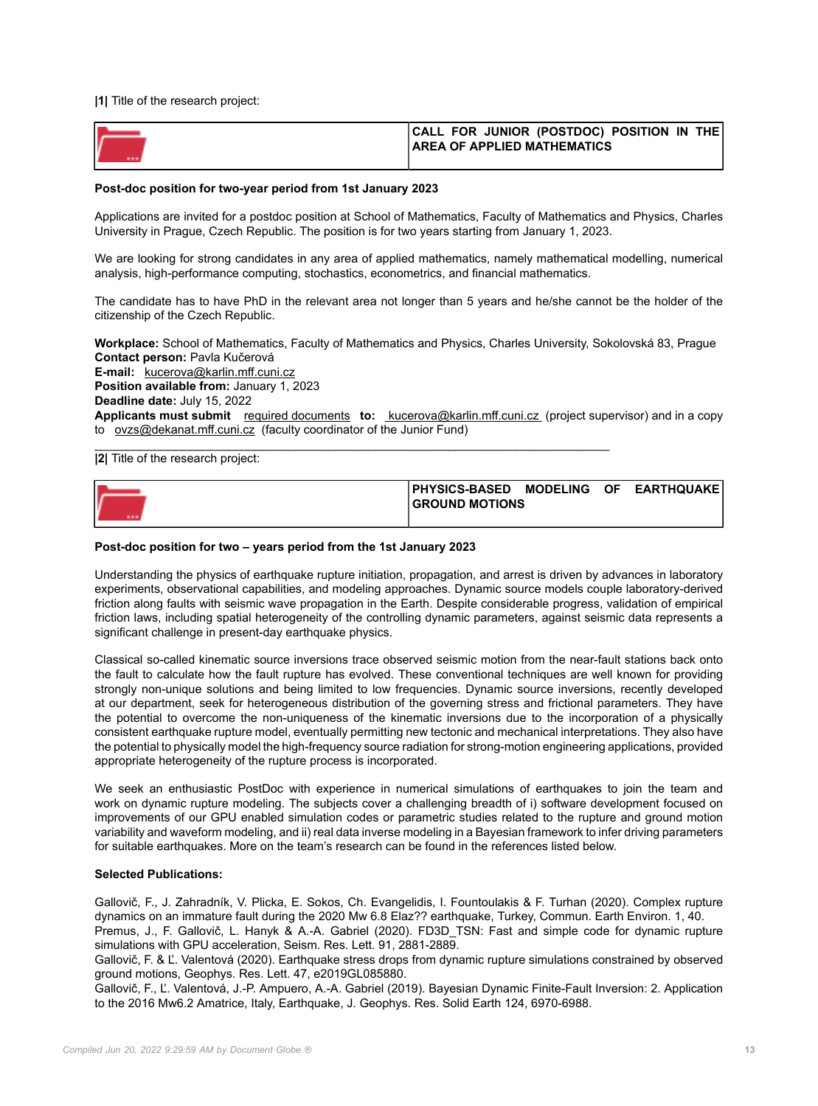**|1|** Title of the research project:

| CALL FOR JUNIOR (POSTDOC) POSITION IN THE<br><b>AREA OF APPLIED MATHEMATICS</b> |
|---------------------------------------------------------------------------------|
|                                                                                 |

#### **Post-doc position for two-year period from 1st January 2023**

Applications are invited for a postdoc position at School of Mathematics, Faculty of Mathematics and Physics, Charles University in Prague, Czech Republic. The position is for two years starting from January 1, 2023.

We are looking for strong candidates in any area of applied mathematics, namely mathematical modelling, numerical analysis, high-performance computing, stochastics, econometrics, and financial mathematics.

The candidate has to have PhD in the relevant area not longer than 5 years and he/she cannot be the holder of the citizenship of the Czech Republic.

**Workplace:** School of Mathematics, Faculty of Mathematics and Physics, Charles University, Sokolovská 83, Prague **Contact person:** Pavla Kučerová **E-mail:** [kucerova@karlin.mff.cuni.cz](mailto:kucerova@karlin.mff.cuni.cz) **Position available from:** January 1, 2023 **Deadline date:** July 15, 2022 **Applicants must submit** [required documents](https://cuni.cz/UKEN-178.html#10) **to:** [kucerova@karlin.mff.cuni.cz](mailto: kucerova@karlin.mff.cuni.cz) (project supervisor) and in a copy to [ovzs@dekanat.mff.cuni.cz](mailto:ovzs@dekanat.mff.cuni.cz) (faculty coordinator of the Junior Fund)

\_\_\_\_\_\_\_\_\_\_\_\_\_\_\_\_\_\_\_\_\_\_\_\_\_\_\_\_\_\_\_\_\_\_\_\_\_\_\_\_\_\_\_\_\_\_\_\_\_\_\_\_\_\_\_\_\_\_\_\_\_\_\_\_\_\_\_\_\_\_\_\_\_\_\_\_\_ **|2|** Title of the research project:



### **Post-doc position for two – years period from the 1st January 2023**

Understanding the physics of earthquake rupture initiation, propagation, and arrest is driven by advances in laboratory experiments, observational capabilities, and modeling approaches. Dynamic source models couple laboratory-derived friction along faults with seismic wave propagation in the Earth. Despite considerable progress, validation of empirical friction laws, including spatial heterogeneity of the controlling dynamic parameters, against seismic data represents a significant challenge in present-day earthquake physics.

Classical so-called kinematic source inversions trace observed seismic motion from the near-fault stations back onto the fault to calculate how the fault rupture has evolved. These conventional techniques are well known for providing strongly non-unique solutions and being limited to low frequencies. Dynamic source inversions, recently developed at our department, seek for heterogeneous distribution of the governing stress and frictional parameters. They have the potential to overcome the non-uniqueness of the kinematic inversions due to the incorporation of a physically consistent earthquake rupture model, eventually permitting new tectonic and mechanical interpretations. They also have the potential to physically model the high-frequency source radiation for strong-motion engineering applications, provided appropriate heterogeneity of the rupture process is incorporated.

We seek an enthusiastic PostDoc with experience in numerical simulations of earthquakes to join the team and work on dynamic rupture modeling. The subjects cover a challenging breadth of i) software development focused on improvements of our GPU enabled simulation codes or parametric studies related to the rupture and ground motion variability and waveform modeling, and ii) real data inverse modeling in a Bayesian framework to infer driving parameters for suitable earthquakes. More on the team's research can be found in the references listed below.

## **Selected Publications:**

Gallovič, F., J. Zahradník, V. Plicka, E. Sokos, Ch. Evangelidis, I. Fountoulakis & F. Turhan (2020). Complex rupture dynamics on an immature fault during the 2020 Mw 6.8 Elaz?? earthquake, Turkey, Commun. Earth Environ. 1, 40. Premus, J., F. Gallovič, L. Hanyk & A.-A. Gabriel (2020). FD3D\_TSN: Fast and simple code for dynamic rupture simulations with GPU acceleration, Seism. Res. Lett. 91, 2881-2889.

Gallovič, F. & Ľ. Valentová (2020). Earthquake stress drops from dynamic rupture simulations constrained by observed ground motions, Geophys. Res. Lett. 47, e2019GL085880.

Gallovič, F., Ľ. Valentová, J.-P. Ampuero, A.-A. Gabriel (2019). Bayesian Dynamic Finite-Fault Inversion: 2. Application to the 2016 Mw6.2 Amatrice, Italy, Earthquake, J. Geophys. Res. Solid Earth 124, 6970-6988.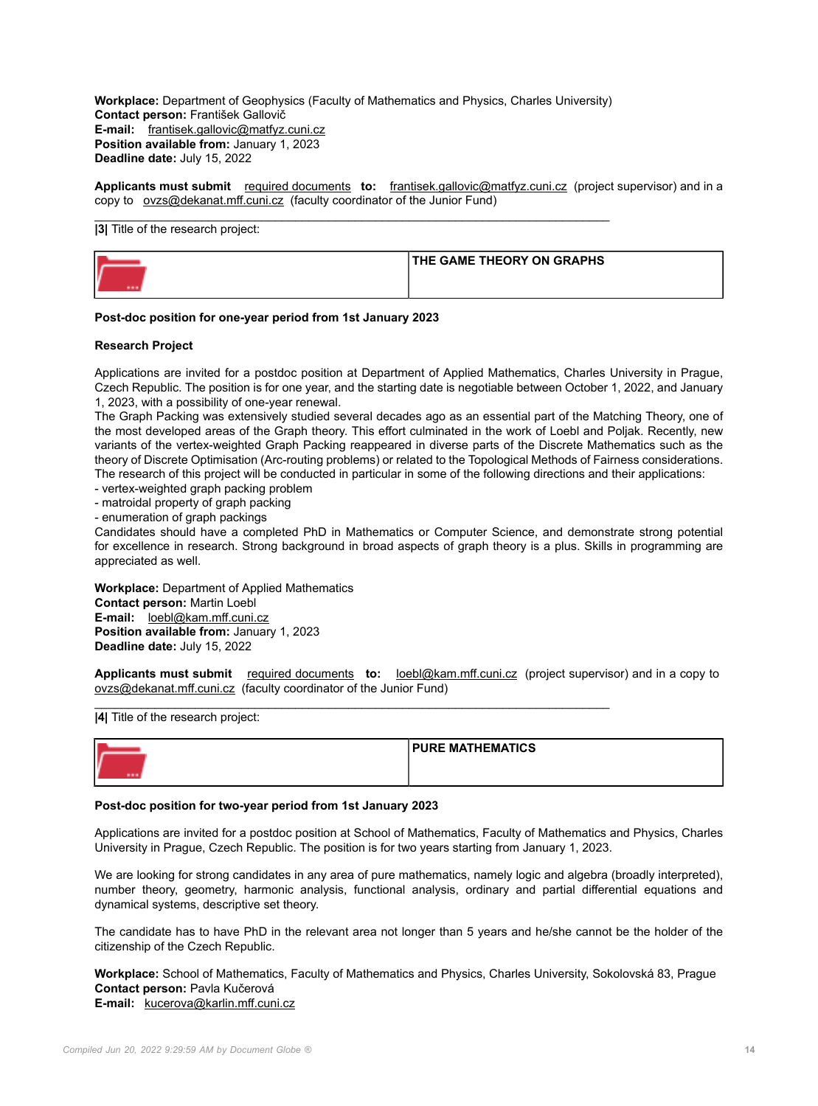**Workplace:** Department of Geophysics (Faculty of Mathematics and Physics, Charles University) **Contact person:** František Gallovič **E-mail:** [frantisek.gallovic@matfyz.cuni.cz](mailto:frantisek.gallovic@matfyz.cuni.cz) **Position available from:** January 1, 2023 **Deadline date:** July 15, 2022

 $\_$  , and the set of the set of the set of the set of the set of the set of the set of the set of the set of the set of the set of the set of the set of the set of the set of the set of the set of the set of the set of th

**Applicants must submit** [required documents](https://cuni.cz/UKEN-178.html#10) **to:** [frantisek.gallovic@matfyz.cuni.cz](mailto:frantisek.gallovic@matfyz.cuni.cz) (project supervisor) and in a copy to [ovzs@dekanat.mff.cuni.cz](mailto:ovzs@dekanat.mff.cuni.cz) (faculty coordinator of the Junior Fund)

## **|3|** Title of the research project:



## **Post-doc position for one-year period from 1st January 2023**

#### **Research Project**

Applications are invited for a postdoc position at Department of Applied Mathematics, Charles University in Prague, Czech Republic. The position is for one year, and the starting date is negotiable between October 1, 2022, and January 1, 2023, with a possibility of one-year renewal.

The Graph Packing was extensively studied several decades ago as an essential part of the Matching Theory, one of the most developed areas of the Graph theory. This effort culminated in the work of Loebl and Poljak. Recently, new variants of the vertex-weighted Graph Packing reappeared in diverse parts of the Discrete Mathematics such as the theory of Discrete Optimisation (Arc-routing problems) or related to the Topological Methods of Fairness considerations. The research of this project will be conducted in particular in some of the following directions and their applications:

- vertex-weighted graph packing problem

- matroidal property of graph packing

- enumeration of graph packings

Candidates should have a completed PhD in Mathematics or Computer Science, and demonstrate strong potential for excellence in research. Strong background in broad aspects of graph theory is a plus. Skills in programming are appreciated as well.

**Workplace:** Department of Applied Mathematics **Contact person:** Martin Loebl **E-mail:** [loebl@kam.mff.cuni.cz](mailto:loebl@kam.mff.cuni.cz) **Position available from:** January 1, 2023 **Deadline date:** July 15, 2022

**Applicants must submit** [required documents](https://cuni.cz/UKEN-178.html#10) **to:** [loebl@kam.mff.cuni.cz](mailto:loebl@kam.mff.cuni.cz) (project supervisor) and in a copy to [ovzs@dekanat.mff.cuni.cz](mailto:ovzs@dekanat.mff.cuni.cz) (faculty coordinator of the Junior Fund)

 $\_$  , and the set of the set of the set of the set of the set of the set of the set of the set of the set of the set of the set of the set of the set of the set of the set of the set of the set of the set of the set of th

**|4|** Title of the research project:

|    | <b>PURE MATHEMATICS</b> |
|----|-------------------------|
| -- |                         |

## **Post-doc position for two-year period from 1st January 2023**

Applications are invited for a postdoc position at School of Mathematics, Faculty of Mathematics and Physics, Charles University in Prague, Czech Republic. The position is for two years starting from January 1, 2023.

We are looking for strong candidates in any area of pure mathematics, namely logic and algebra (broadly interpreted), number theory, geometry, harmonic analysis, functional analysis, ordinary and partial differential equations and dynamical systems, descriptive set theory.

The candidate has to have PhD in the relevant area not longer than 5 years and he/she cannot be the holder of the citizenship of the Czech Republic.

**Workplace:** School of Mathematics, Faculty of Mathematics and Physics, Charles University, Sokolovská 83, Prague **Contact person:** Pavla Kučerová **E-mail:** [kucerova@karlin.mff.cuni.cz](mailto:kucerova@karlin.mff.cuni.cz)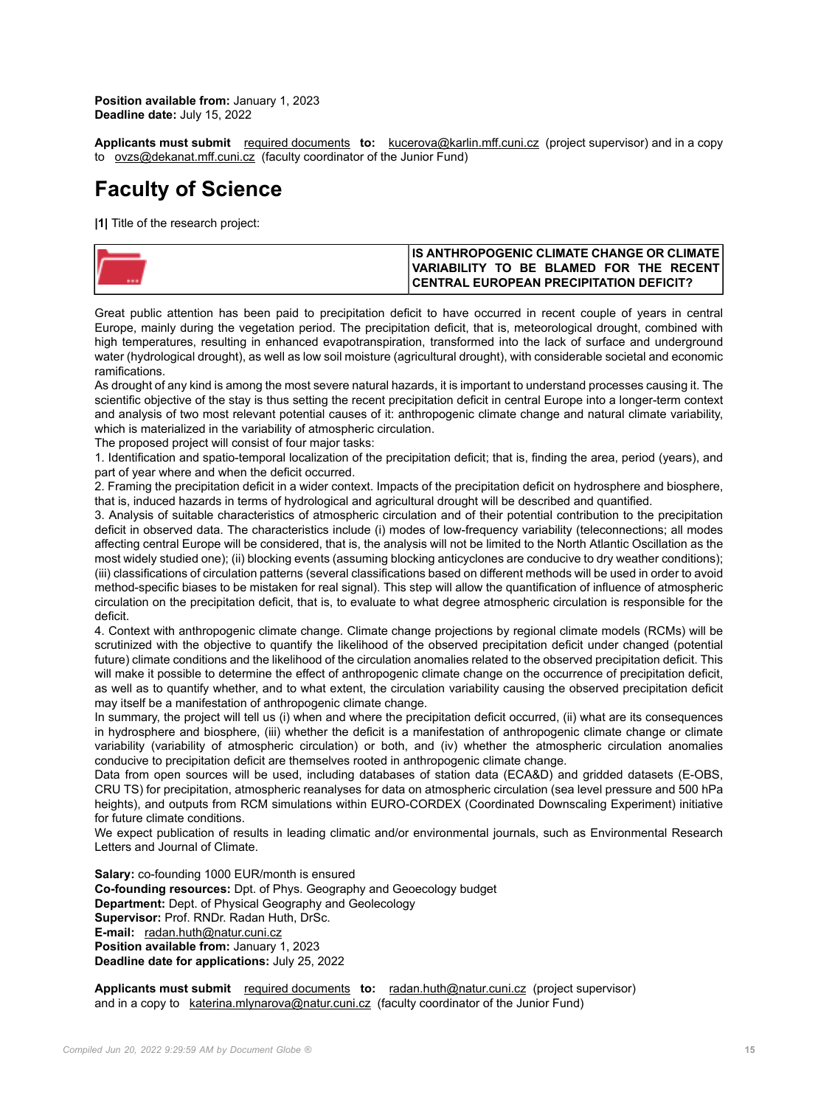**Position available from:** January 1, 2023 **Deadline date:** July 15, 2022

**Applicants must submit** [required documents](https://cuni.cz/UKEN-178.html#10) **to:** [kucerova@karlin.mff.cuni.cz](mailto:kucerova@karlin.mff.cuni.cz) (project supervisor) and in a copy to [ovzs@dekanat.mff.cuni.cz](mailto:ovzs@dekanat.mff.cuni.cz) (faculty coordinator of the Junior Fund)

## **Faculty of Science**

**|1|** Title of the research project:

| IIS ANTHROPOGENIC CLIMATE CHANGE OR CLIMATE I  |
|------------------------------------------------|
| VARIABILITY TO BE BLAMED FOR THE RECENT!       |
| <b>CENTRAL EUROPEAN PRECIPITATION DEFICIT?</b> |

Great public attention has been paid to precipitation deficit to have occurred in recent couple of years in central Europe, mainly during the vegetation period. The precipitation deficit, that is, meteorological drought, combined with high temperatures, resulting in enhanced evapotranspiration, transformed into the lack of surface and underground water (hydrological drought), as well as low soil moisture (agricultural drought), with considerable societal and economic ramifications.

As drought of any kind is among the most severe natural hazards, it is important to understand processes causing it. The scientific objective of the stay is thus setting the recent precipitation deficit in central Europe into a longer-term context and analysis of two most relevant potential causes of it: anthropogenic climate change and natural climate variability, which is materialized in the variability of atmospheric circulation.

The proposed project will consist of four major tasks:

1. Identification and spatio-temporal localization of the precipitation deficit; that is, finding the area, period (years), and part of year where and when the deficit occurred.

2. Framing the precipitation deficit in a wider context. Impacts of the precipitation deficit on hydrosphere and biosphere, that is, induced hazards in terms of hydrological and agricultural drought will be described and quantified.

3. Analysis of suitable characteristics of atmospheric circulation and of their potential contribution to the precipitation deficit in observed data. The characteristics include (i) modes of low-frequency variability (teleconnections; all modes affecting central Europe will be considered, that is, the analysis will not be limited to the North Atlantic Oscillation as the most widely studied one); (ii) blocking events (assuming blocking anticyclones are conducive to dry weather conditions); (iii) classifications of circulation patterns (several classifications based on different methods will be used in order to avoid method-specific biases to be mistaken for real signal). This step will allow the quantification of influence of atmospheric circulation on the precipitation deficit, that is, to evaluate to what degree atmospheric circulation is responsible for the deficit.

4. Context with anthropogenic climate change. Climate change projections by regional climate models (RCMs) will be scrutinized with the objective to quantify the likelihood of the observed precipitation deficit under changed (potential future) climate conditions and the likelihood of the circulation anomalies related to the observed precipitation deficit. This will make it possible to determine the effect of anthropogenic climate change on the occurrence of precipitation deficit, as well as to quantify whether, and to what extent, the circulation variability causing the observed precipitation deficit may itself be a manifestation of anthropogenic climate change.

In summary, the project will tell us (i) when and where the precipitation deficit occurred, (ii) what are its consequences in hydrosphere and biosphere, (iii) whether the deficit is a manifestation of anthropogenic climate change or climate variability (variability of atmospheric circulation) or both, and (iv) whether the atmospheric circulation anomalies conducive to precipitation deficit are themselves rooted in anthropogenic climate change.

Data from open sources will be used, including databases of station data (ECA&D) and gridded datasets (E-OBS, CRU TS) for precipitation, atmospheric reanalyses for data on atmospheric circulation (sea level pressure and 500 hPa heights), and outputs from RCM simulations within EURO-CORDEX (Coordinated Downscaling Experiment) initiative for future climate conditions.

We expect publication of results in leading climatic and/or environmental journals, such as Environmental Research Letters and Journal of Climate.

**Salary:** co-founding 1000 EUR/month is ensured **Co-founding resources:** Dpt. of Phys. Geography and Geoecology budget **Department:** Dept. of Physical Geography and Geolecology **Supervisor:** Prof. RNDr. Radan Huth, DrSc. **E-mail:** [radan.huth@natur.cuni.cz](mailto:radan.huth@natur.cuni.cz) **Position available from:** January 1, 2023 **Deadline date for applications:** July 25, 2022

**Applicants must submit** [required documents](https://cuni.cz/UKEN-178.html#10) **to:** [radan.huth@natur.cuni.cz](mailto:radan.huth@natur.cuni.cz) (project supervisor) and in a copy to [katerina.mlynarova@natur.cuni.cz](mailto:katerina.mlynarova@natur.cuni.cz) (faculty coordinator of the Junior Fund)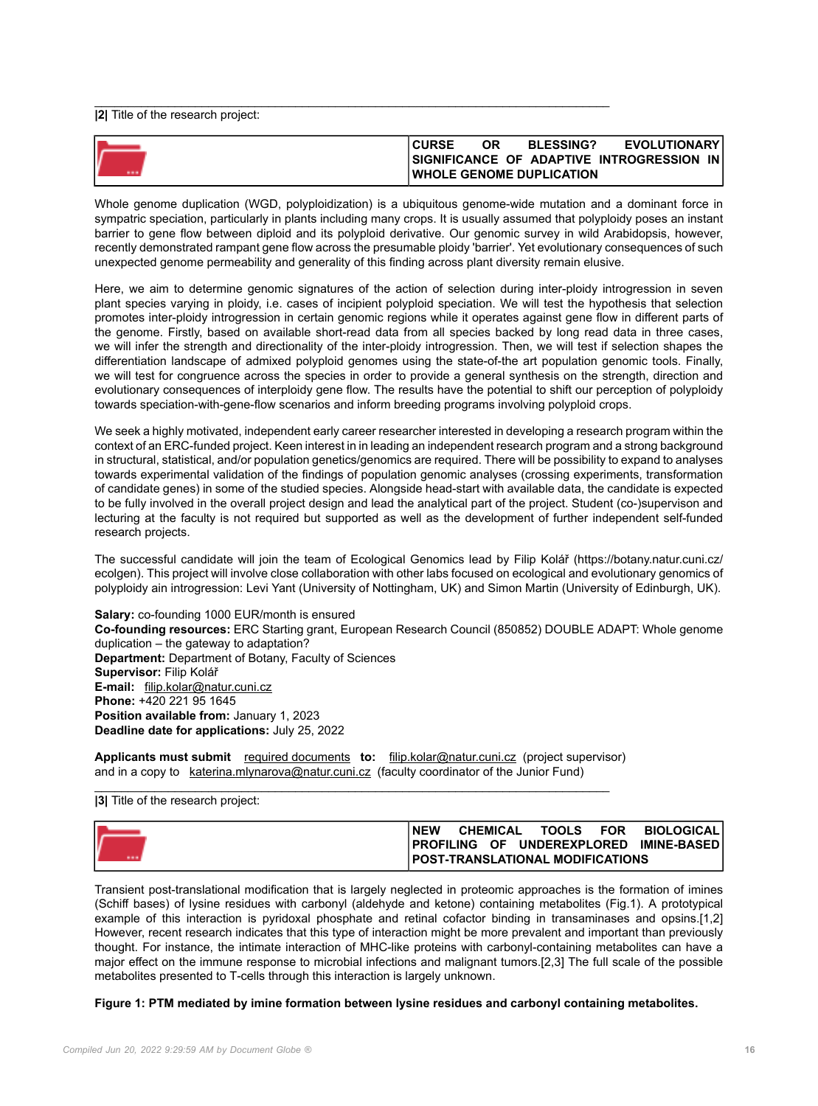**|2|** Title of the research project:

| <b>CURSE</b> | ОR | <b>BLESSING?</b>                 | <b>EVOLUTIONARY</b>                              |
|--------------|----|----------------------------------|--------------------------------------------------|
|              |    |                                  | ISIGNIFICANCE OF ADAPTIVE INTROGRESSION<br>-IN I |
|              |    | <b>IWHOLE GENOME DUPLICATION</b> |                                                  |

 $\_$  , and the set of the set of the set of the set of the set of the set of the set of the set of the set of the set of the set of the set of the set of the set of the set of the set of the set of the set of the set of th

Whole genome duplication (WGD, polyploidization) is a ubiquitous genome-wide mutation and a dominant force in sympatric speciation, particularly in plants including many crops. It is usually assumed that polyploidy poses an instant barrier to gene flow between diploid and its polyploid derivative. Our genomic survey in wild Arabidopsis, however, recently demonstrated rampant gene flow across the presumable ploidy 'barrier'. Yet evolutionary consequences of such unexpected genome permeability and generality of this finding across plant diversity remain elusive.

Here, we aim to determine genomic signatures of the action of selection during inter-ploidy introgression in seven plant species varying in ploidy, i.e. cases of incipient polyploid speciation. We will test the hypothesis that selection promotes inter-ploidy introgression in certain genomic regions while it operates against gene flow in different parts of the genome. Firstly, based on available short-read data from all species backed by long read data in three cases, we will infer the strength and directionality of the inter-ploidy introgression. Then, we will test if selection shapes the differentiation landscape of admixed polyploid genomes using the state-of-the art population genomic tools. Finally, we will test for congruence across the species in order to provide a general synthesis on the strength, direction and evolutionary consequences of interploidy gene flow. The results have the potential to shift our perception of polyploidy towards speciation-with-gene-flow scenarios and inform breeding programs involving polyploid crops.

We seek a highly motivated, independent early career researcher interested in developing a research program within the context of an ERC-funded project. Keen interest in in leading an independent research program and a strong background in structural, statistical, and/or population genetics/genomics are required. There will be possibility to expand to analyses towards experimental validation of the findings of population genomic analyses (crossing experiments, transformation of candidate genes) in some of the studied species. Alongside head-start with available data, the candidate is expected to be fully involved in the overall project design and lead the analytical part of the project. Student (co-)supervison and lecturing at the faculty is not required but supported as well as the development of further independent self-funded research projects.

The successful candidate will join the team of Ecological Genomics lead by Filip Kolář (https://botany.natur.cuni.cz/ ecolgen). This project will involve close collaboration with other labs focused on ecological and evolutionary genomics of polyploidy ain introgression: Levi Yant (University of Nottingham, UK) and Simon Martin (University of Edinburgh, UK).

**Salary:** co-founding 1000 EUR/month is ensured **Co-founding resources:** ERC Starting grant, European Research Council (850852) DOUBLE ADAPT: Whole genome duplication – the gateway to adaptation? **Department:** Department of Botany, Faculty of Sciences **Supervisor:** Filip Kolář **E-mail:** [filip.kolar@natur.cuni.cz](mailto:filip.kolar@natur.cuni.cz) **Phone:** +420 221 95 1645 **Position available from:** January 1, 2023 **Deadline date for applications:** July 25, 2022

**Applicants must submit** [required documents](https://cuni.cz/UKEN-178.html#10) **to:** [filip.kolar@natur.cuni.cz](mailto:filip.kolar@natur.cuni.cz) (project supervisor) and in a copy to [katerina.mlynarova@natur.cuni.cz](mailto:katerina.mlynarova@natur.cuni.cz) (faculty coordinator of the Junior Fund)

\_\_\_\_\_\_\_\_\_\_\_\_\_\_\_\_\_\_\_\_\_\_\_\_\_\_\_\_\_\_\_\_\_\_\_\_\_\_\_\_\_\_\_\_\_\_\_\_\_\_\_\_\_\_\_\_\_\_\_\_\_\_\_\_\_\_\_\_\_\_\_\_\_\_\_\_\_ **|3|** Title of the research project:

| l NEW | <b>CHEMICAL</b> |                                          | TOOLS FOR BIOLOGICAL                            |
|-------|-----------------|------------------------------------------|-------------------------------------------------|
|       |                 |                                          | <b>IPROFILING OF UNDEREXPLORED IMINE-BASEDI</b> |
|       |                 | <b>IPOST-TRANSLATIONAL MODIFICATIONS</b> |                                                 |

Transient post-translational modification that is largely neglected in proteomic approaches is the formation of imines (Schiff bases) of lysine residues with carbonyl (aldehyde and ketone) containing metabolites (Fig.1). A prototypical example of this interaction is pyridoxal phosphate and retinal cofactor binding in transaminases and opsins.[1,2] However, recent research indicates that this type of interaction might be more prevalent and important than previously thought. For instance, the intimate interaction of MHC-like proteins with carbonyl-containing metabolites can have a major effect on the immune response to microbial infections and malignant tumors.[2,3] The full scale of the possible metabolites presented to T-cells through this interaction is largely unknown.

### **Figure 1: PTM mediated by imine formation between lysine residues and carbonyl containing metabolites.**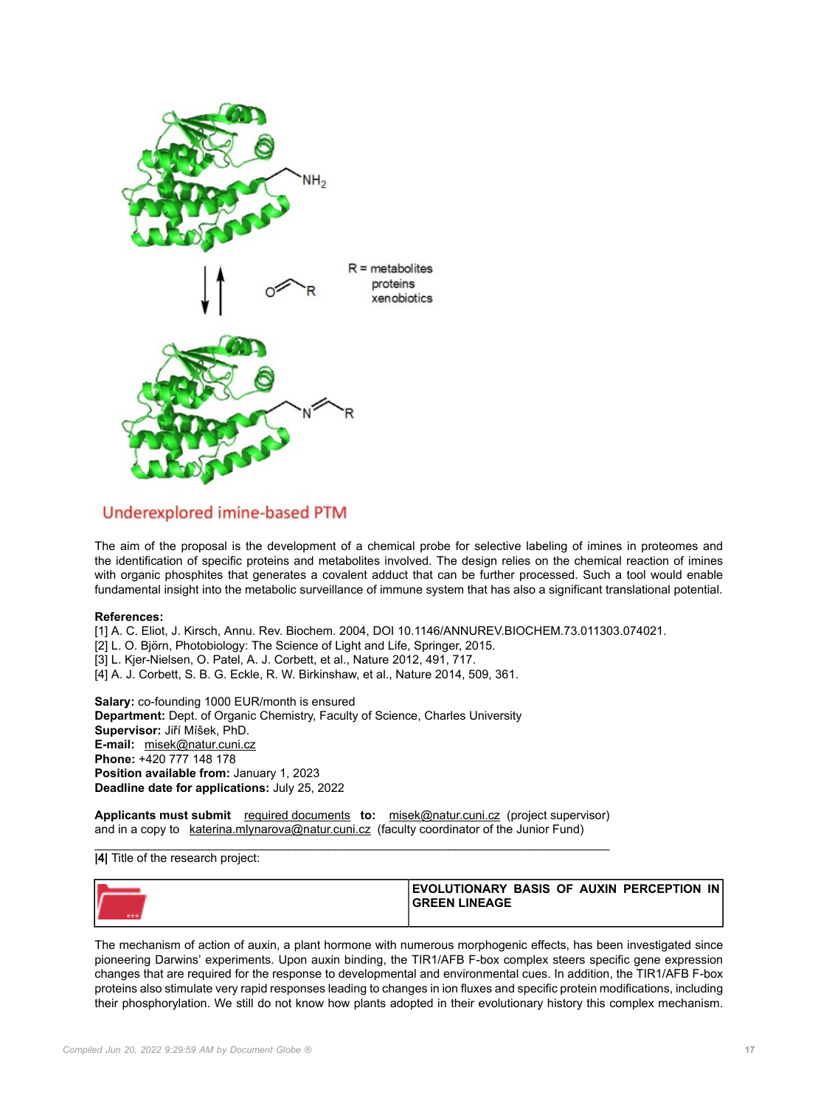

## Underexplored imine-based PTM

The aim of the proposal is the development of a chemical probe for selective labeling of imines in proteomes and the identification of specific proteins and metabolites involved. The design relies on the chemical reaction of imines with organic phosphites that generates a covalent adduct that can be further processed. Such a tool would enable fundamental insight into the metabolic surveillance of immune system that has also a significant translational potential.

### **References:**

[1] A. C. Eliot, J. Kirsch, Annu. Rev. Biochem. 2004, DOI 10.1146/ANNUREV.BIOCHEM.73.011303.074021.

- [2] L. O. Björn, Photobiology: The Science of Light and Life, Springer, 2015.
- [3] L. Kjer-Nielsen, O. Patel, A. J. Corbett, et al., Nature 2012, 491, 717.
- [4] A. J. Corbett, S. B. G. Eckle, R. W. Birkinshaw, et al., Nature 2014, 509, 361.

**Salary:** co-founding 1000 EUR/month is ensured **Department:** Dept. of Organic Chemistry, Faculty of Science, Charles University **Supervisor:** Jiří Míšek, PhD. **E-mail:** [misek@natur.cuni.cz](mailto:misek@natur.cuni.cz) **Phone:** +420 777 148 178 **Position available from:** January 1, 2023 **Deadline date for applications:** July 25, 2022

**Applicants must submit** [required documents](https://cuni.cz/UKEN-178.html#10) **to:** [misek@natur.cuni.cz](mailto:misek@natur.cuni.cz) (project supervisor) and in a copy to [katerina.mlynarova@natur.cuni.cz](mailto:katerina.mlynarova@natur.cuni.cz) (faculty coordinator of the Junior Fund)

#### \_\_\_\_\_\_\_\_\_\_\_\_\_\_\_\_\_\_\_\_\_\_\_\_\_\_\_\_\_\_\_\_\_\_\_\_\_\_\_\_\_\_\_\_\_\_\_\_\_\_\_\_\_\_\_\_\_\_\_\_\_\_\_\_\_\_\_\_\_\_\_\_\_\_\_\_\_ **|4|** Title of the research project:

| EVOLUTIONARY BASIS OF AUXIN PERCEPTION IN<br><b>GREEN LINEAGE</b> |
|-------------------------------------------------------------------|
|                                                                   |

The mechanism of action of auxin, a plant hormone with numerous morphogenic effects, has been investigated since pioneering Darwins' experiments. Upon auxin binding, the TIR1/AFB F-box complex steers specific gene expression changes that are required for the response to developmental and environmental cues. In addition, the TIR1/AFB F-box proteins also stimulate very rapid responses leading to changes in ion fluxes and specific protein modifications, including their phosphorylation. We still do not know how plants adopted in their evolutionary history this complex mechanism.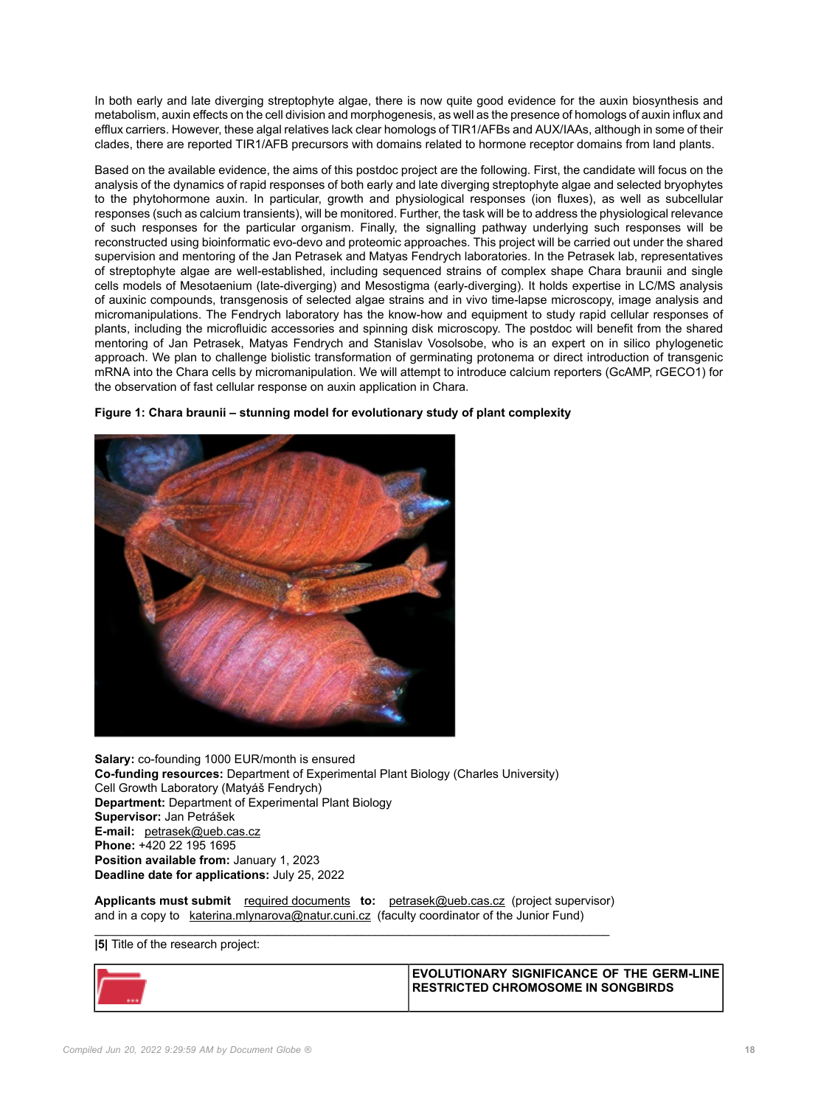In both early and late diverging streptophyte algae, there is now quite good evidence for the auxin biosynthesis and metabolism, auxin effects on the cell division and morphogenesis, as well as the presence of homologs of auxin influx and efflux carriers. However, these algal relatives lack clear homologs of TIR1/AFBs and AUX/IAAs, although in some of their clades, there are reported TIR1/AFB precursors with domains related to hormone receptor domains from land plants.

Based on the available evidence, the aims of this postdoc project are the following. First, the candidate will focus on the analysis of the dynamics of rapid responses of both early and late diverging streptophyte algae and selected bryophytes to the phytohormone auxin. In particular, growth and physiological responses (ion fluxes), as well as subcellular responses (such as calcium transients), will be monitored. Further, the task will be to address the physiological relevance of such responses for the particular organism. Finally, the signalling pathway underlying such responses will be reconstructed using bioinformatic evo-devo and proteomic approaches. This project will be carried out under the shared supervision and mentoring of the Jan Petrasek and Matyas Fendrych laboratories. In the Petrasek lab, representatives of streptophyte algae are well-established, including sequenced strains of complex shape Chara braunii and single cells models of Mesotaenium (late-diverging) and Mesostigma (early-diverging). It holds expertise in LC/MS analysis of auxinic compounds, transgenosis of selected algae strains and in vivo time-lapse microscopy, image analysis and micromanipulations. The Fendrych laboratory has the know-how and equipment to study rapid cellular responses of plants, including the microfluidic accessories and spinning disk microscopy. The postdoc will benefit from the shared mentoring of Jan Petrasek, Matyas Fendrych and Stanislav Vosolsobe, who is an expert on in silico phylogenetic approach. We plan to challenge biolistic transformation of germinating protonema or direct introduction of transgenic mRNA into the Chara cells by micromanipulation. We will attempt to introduce calcium reporters (GcAMP, rGECO1) for the observation of fast cellular response on auxin application in Chara.



**Figure 1: Chara braunii – stunning model for evolutionary study of plant complexity**

**Salary:** co-founding 1000 EUR/month is ensured **Co-funding resources:** Department of Experimental Plant Biology (Charles University) Cell Growth Laboratory (Matyáš Fendrych) **Department:** Department of Experimental Plant Biology **Supervisor:** Jan Petrášek **E-mail:** [petrasek@ueb.cas.cz](mailto:petrasek@ueb.cas.cz) **Phone:** +420 22 195 1695 **Position available from:** January 1, 2023 **Deadline date for applications:** July 25, 2022

**Applicants must submit** [required documents](https://cuni.cz/UKEN-178.html#10) **to:** [petrasek@ueb.cas.cz](mailto:petrasek@ueb.cas.cz) (project supervisor) and in a copy to [katerina.mlynarova@natur.cuni.cz](mailto:katerina.mlynarova@natur.cuni.cz) (faculty coordinator of the Junior Fund)  $\_$  , and the set of the set of the set of the set of the set of the set of the set of the set of the set of the set of the set of the set of the set of the set of the set of the set of the set of the set of the set of th

**|5|** Title of the research project:

| <b>EVOLUTIONARY SIGNIFICANCE OF THE GERM-LINE.</b><br><b>RESTRICTED CHROMOSOME IN SONGBIRDS</b> |
|-------------------------------------------------------------------------------------------------|
|                                                                                                 |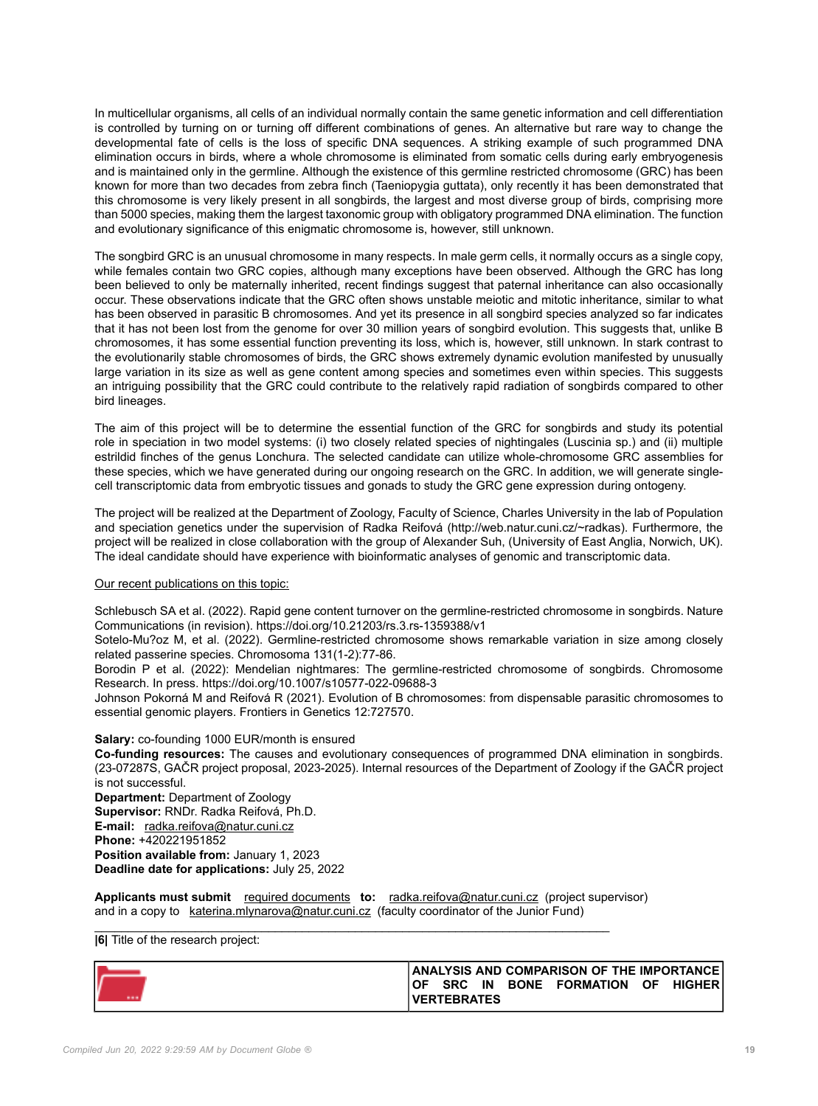In multicellular organisms, all cells of an individual normally contain the same genetic information and cell differentiation is controlled by turning on or turning off different combinations of genes. An alternative but rare way to change the developmental fate of cells is the loss of specific DNA sequences. A striking example of such programmed DNA elimination occurs in birds, where a whole chromosome is eliminated from somatic cells during early embryogenesis and is maintained only in the germline. Although the existence of this germline restricted chromosome (GRC) has been known for more than two decades from zebra finch (Taeniopygia guttata), only recently it has been demonstrated that this chromosome is very likely present in all songbirds, the largest and most diverse group of birds, comprising more than 5000 species, making them the largest taxonomic group with obligatory programmed DNA elimination. The function and evolutionary significance of this enigmatic chromosome is, however, still unknown.

The songbird GRC is an unusual chromosome in many respects. In male germ cells, it normally occurs as a single copy, while females contain two GRC copies, although many exceptions have been observed. Although the GRC has long been believed to only be maternally inherited, recent findings suggest that paternal inheritance can also occasionally occur. These observations indicate that the GRC often shows unstable meiotic and mitotic inheritance, similar to what has been observed in parasitic B chromosomes. And yet its presence in all songbird species analyzed so far indicates that it has not been lost from the genome for over 30 million years of songbird evolution. This suggests that, unlike B chromosomes, it has some essential function preventing its loss, which is, however, still unknown. In stark contrast to the evolutionarily stable chromosomes of birds, the GRC shows extremely dynamic evolution manifested by unusually large variation in its size as well as gene content among species and sometimes even within species. This suggests an intriguing possibility that the GRC could contribute to the relatively rapid radiation of songbirds compared to other bird lineages.

The aim of this project will be to determine the essential function of the GRC for songbirds and study its potential role in speciation in two model systems: (i) two closely related species of nightingales (Luscinia sp.) and (ii) multiple estrildid finches of the genus Lonchura. The selected candidate can utilize whole-chromosome GRC assemblies for these species, which we have generated during our ongoing research on the GRC. In addition, we will generate singlecell transcriptomic data from embryotic tissues and gonads to study the GRC gene expression during ontogeny.

The project will be realized at the Department of Zoology, Faculty of Science, Charles University in the lab of Population and speciation genetics under the supervision of Radka Reifová (http://web.natur.cuni.cz/~radkas). Furthermore, the project will be realized in close collaboration with the group of Alexander Suh, (University of East Anglia, Norwich, UK). The ideal candidate should have experience with bioinformatic analyses of genomic and transcriptomic data.

## Our recent publications on this topic:

Schlebusch SA et al. (2022). Rapid gene content turnover on the germline-restricted chromosome in songbirds. Nature Communications (in revision). https://doi.org/10.21203/rs.3.rs-1359388/v1

Sotelo-Mu?oz M, et al. (2022). Germline-restricted chromosome shows remarkable variation in size among closely related passerine species. Chromosoma 131(1-2):77-86.

Borodin P et al. (2022): Mendelian nightmares: The germline-restricted chromosome of songbirds. Chromosome Research. In press. https://doi.org/10.1007/s10577-022-09688-3

Johnson Pokorná M and Reifová R (2021). Evolution of B chromosomes: from dispensable parasitic chromosomes to essential genomic players. Frontiers in Genetics 12:727570.

## **Salary:** co-founding 1000 EUR/month is ensured

**Co-funding resources:** The causes and evolutionary consequences of programmed DNA elimination in songbirds. (23-07287S, GAČR project proposal, 2023-2025). Internal resources of the Department of Zoology if the GAČR project is not successful.

**Department:** Department of Zoology **Supervisor:** RNDr. Radka Reifová, Ph.D. **E-mail:** [radka.reifova@natur.cuni.cz](mailto:radka.reifova@natur.cuni.cz) **Phone:** +420221951852 **Position available from:** January 1, 2023 **Deadline date for applications:** July 25, 2022

**Applicants must submit** [required documents](https://cuni.cz/UKEN-178.html#10) **to:** [radka.reifova@natur.cuni.cz](mailto:radka.reifova@natur.cuni.cz) (project supervisor) and in a copy to [katerina.mlynarova@natur.cuni.cz](mailto:katerina.mlynarova@natur.cuni.cz) (faculty coordinator of the Junior Fund)

\_\_\_\_\_\_\_\_\_\_\_\_\_\_\_\_\_\_\_\_\_\_\_\_\_\_\_\_\_\_\_\_\_\_\_\_\_\_\_\_\_\_\_\_\_\_\_\_\_\_\_\_\_\_\_\_\_\_\_\_\_\_\_\_\_\_\_\_\_\_\_\_\_\_\_\_\_

## **|6|** Title of the research project:

|  | <b>SRC</b>          | IN | <b>BONE FORMATION</b> | OF. | ANALYSIS AND COMPARISON OF THE IMPORTANCE I<br><b>HIGHER</b> |
|--|---------------------|----|-----------------------|-----|--------------------------------------------------------------|
|  | <b>IVERTEBRATES</b> |    |                       |     |                                                              |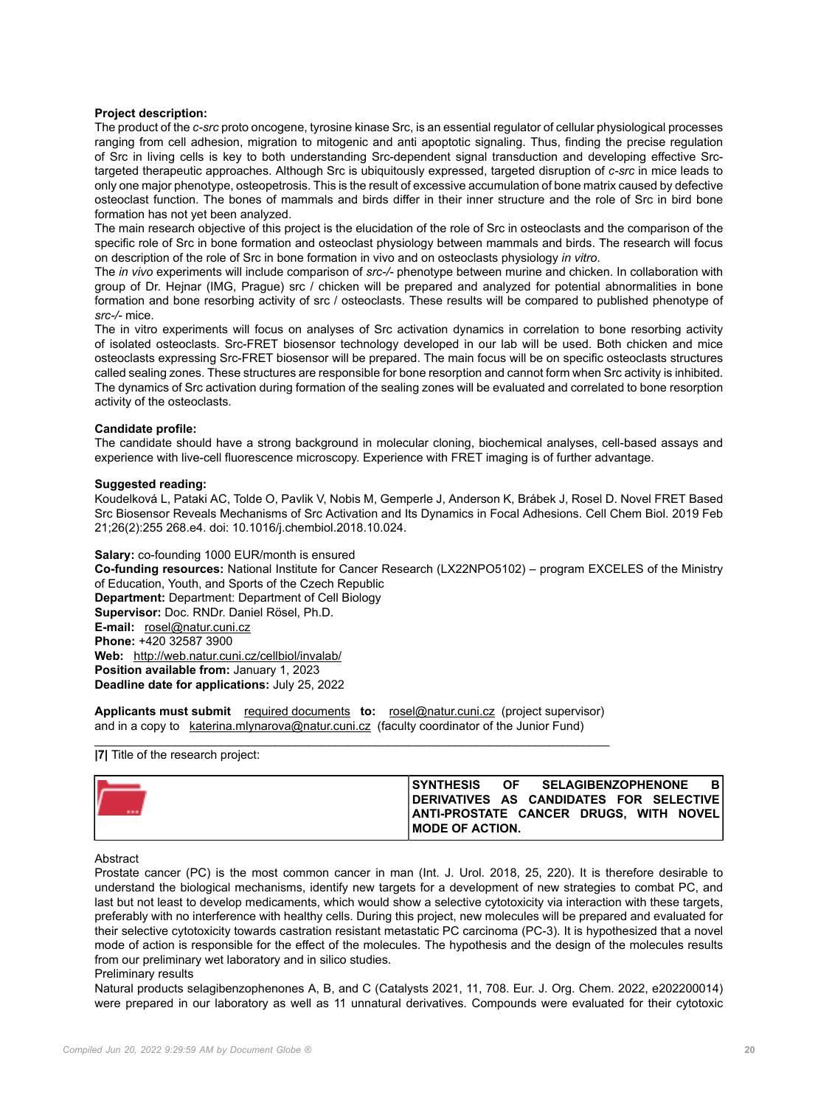## **Project description:**

The product of the *c-src* proto oncogene, tyrosine kinase Src, is an essential regulator of cellular physiological processes ranging from cell adhesion, migration to mitogenic and anti apoptotic signaling. Thus, finding the precise regulation of Src in living cells is key to both understanding Src-dependent signal transduction and developing effective Srctargeted therapeutic approaches. Although Src is ubiquitously expressed, targeted disruption of *c-src* in mice leads to only one major phenotype, osteopetrosis. This is the result of excessive accumulation of bone matrix caused by defective osteoclast function. The bones of mammals and birds differ in their inner structure and the role of Src in bird bone formation has not yet been analyzed.

The main research objective of this project is the elucidation of the role of Src in osteoclasts and the comparison of the specific role of Src in bone formation and osteoclast physiology between mammals and birds. The research will focus on description of the role of Src in bone formation in vivo and on osteoclasts physiology *in vitro*.

The *in vivo* experiments will include comparison of *src-/-* phenotype between murine and chicken. In collaboration with group of Dr. Hejnar (IMG, Prague) src / chicken will be prepared and analyzed for potential abnormalities in bone formation and bone resorbing activity of src / osteoclasts. These results will be compared to published phenotype of *src-/-* mice.

The in vitro experiments will focus on analyses of Src activation dynamics in correlation to bone resorbing activity of isolated osteoclasts. Src-FRET biosensor technology developed in our lab will be used. Both chicken and mice osteoclasts expressing Src-FRET biosensor will be prepared. The main focus will be on specific osteoclasts structures called sealing zones. These structures are responsible for bone resorption and cannot form when Src activity is inhibited. The dynamics of Src activation during formation of the sealing zones will be evaluated and correlated to bone resorption activity of the osteoclasts.

### **Candidate profile:**

The candidate should have a strong background in molecular cloning, biochemical analyses, cell-based assays and experience with live-cell fluorescence microscopy. Experience with FRET imaging is of further advantage.

### **Suggested reading:**

Koudelková L, Pataki AC, Tolde O, Pavlik V, Nobis M, Gemperle J, Anderson K, Brábek J, Rosel D. Novel FRET Based Src Biosensor Reveals Mechanisms of Src Activation and Its Dynamics in Focal Adhesions. Cell Chem Biol. 2019 Feb 21;26(2):255 268.e4. doi: 10.1016/j.chembiol.2018.10.024.

**Salary:** co-founding 1000 EUR/month is ensured **Co-funding resources:** National Institute for Cancer Research (LX22NPO5102) – program EXCELES of the Ministry of Education, Youth, and Sports of the Czech Republic **Department:** Department: Department of Cell Biology **Supervisor:** Doc. RNDr. Daniel Rösel, Ph.D. **E-mail:** [rosel@natur.cuni.cz](mailto:rosel@natur.cuni.cz) **Phone:** +420 32587 3900 **Web:** <http://web.natur.cuni.cz/cellbiol/invalab/> **Position available from:** January 1, 2023 **Deadline date for applications:** July 25, 2022

**Applicants must submit** [required documents](https://cuni.cz/UKEN-178.html#10) **to:** [rosel@natur.cuni.cz](mailto:rosel@natur.cuni.cz) (project supervisor) and in a copy to [katerina.mlynarova@natur.cuni.cz](mailto:katerina.mlynarova@natur.cuni.cz) (faculty coordinator of the Junior Fund)  $\_$  , and the set of the set of the set of the set of the set of the set of the set of the set of the set of the set of the set of the set of the set of the set of the set of the set of the set of the set of the set of th

## **|7|** Title of the research project:

| V | SYNTHESIS OF SELAGIBENZOPHENONE<br>DERIVATIVES AS CANDIDATES FOR SELECTIVE<br> ANTI-PROSTATE CANCER DRUGS. WITH NOVEL |  |  | BI |
|---|-----------------------------------------------------------------------------------------------------------------------|--|--|----|
|   | <b>IMODE OF ACTION.</b>                                                                                               |  |  |    |

## **Abstract**

Prostate cancer (PC) is the most common cancer in man (Int. J. Urol. 2018, 25, 220). It is therefore desirable to understand the biological mechanisms, identify new targets for a development of new strategies to combat PC, and last but not least to develop medicaments, which would show a selective cytotoxicity via interaction with these targets, preferably with no interference with healthy cells. During this project, new molecules will be prepared and evaluated for their selective cytotoxicity towards castration resistant metastatic PC carcinoma (PC-3). It is hypothesized that a novel mode of action is responsible for the effect of the molecules. The hypothesis and the design of the molecules results from our preliminary wet laboratory and in silico studies.

### Preliminary results

Natural products selagibenzophenones A, B, and C (Catalysts 2021, 11, 708. Eur. J. Org. Chem. 2022, e202200014) were prepared in our laboratory as well as 11 unnatural derivatives. Compounds were evaluated for their cytotoxic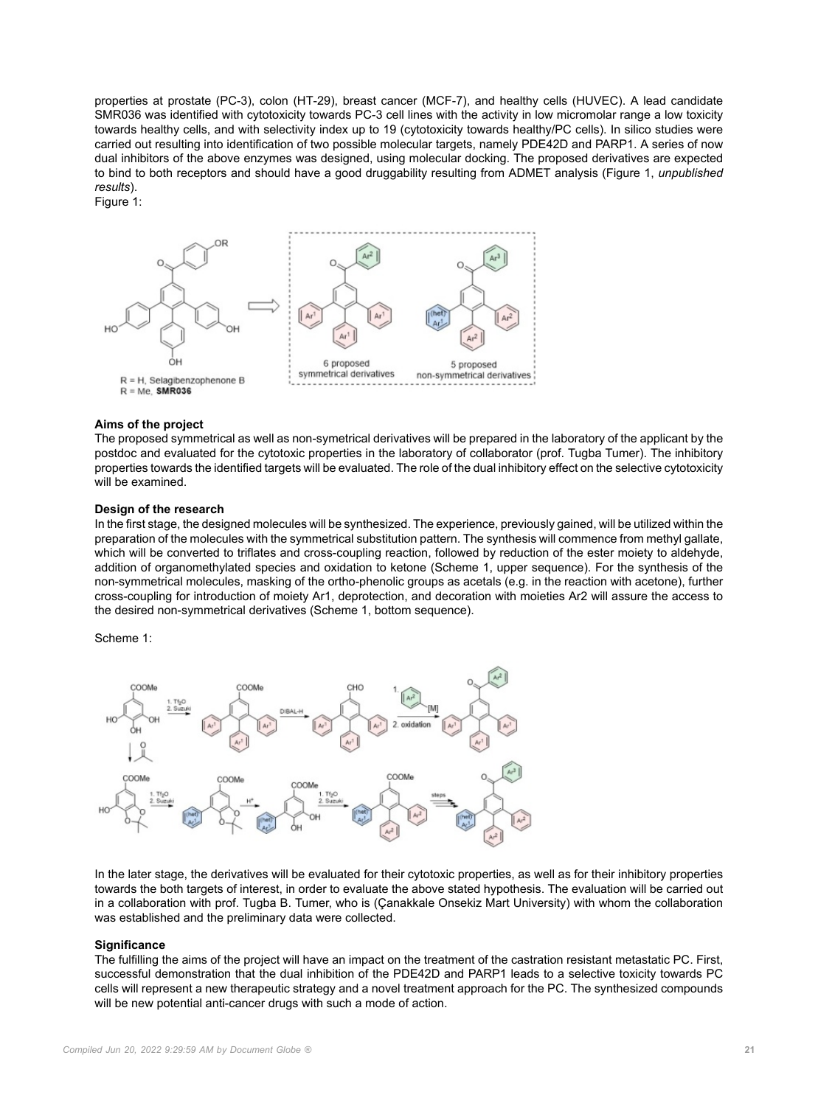properties at prostate (PC-3), colon (HT-29), breast cancer (MCF-7), and healthy cells (HUVEC). A lead candidate SMR036 was identified with cytotoxicity towards PC-3 cell lines with the activity in low micromolar range a low toxicity towards healthy cells, and with selectivity index up to 19 (cytotoxicity towards healthy/PC cells). In silico studies were carried out resulting into identification of two possible molecular targets, namely PDE42D and PARP1. A series of now dual inhibitors of the above enzymes was designed, using molecular docking. The proposed derivatives are expected to bind to both receptors and should have a good druggability resulting from ADMET analysis (Figure 1, *unpublished results*).

Figure 1:



## **Aims of the project**

The proposed symmetrical as well as non-symetrical derivatives will be prepared in the laboratory of the applicant by the postdoc and evaluated for the cytotoxic properties in the laboratory of collaborator (prof. Tugba Tumer). The inhibitory properties towards the identified targets will be evaluated. The role of the dual inhibitory effect on the selective cytotoxicity will be examined.

#### **Design of the research**

In the first stage, the designed molecules will be synthesized. The experience, previously gained, will be utilized within the preparation of the molecules with the symmetrical substitution pattern. The synthesis will commence from methyl gallate, which will be converted to triflates and cross-coupling reaction, followed by reduction of the ester moiety to aldehyde, addition of organomethylated species and oxidation to ketone (Scheme 1, upper sequence). For the synthesis of the non-symmetrical molecules, masking of the ortho-phenolic groups as acetals (e.g. in the reaction with acetone), further cross-coupling for introduction of moiety Ar1, deprotection, and decoration with moieties Ar2 will assure the access to the desired non-symmetrical derivatives (Scheme 1, bottom sequence).

Scheme 1:



In the later stage, the derivatives will be evaluated for their cytotoxic properties, as well as for their inhibitory properties towards the both targets of interest, in order to evaluate the above stated hypothesis. The evaluation will be carried out in a collaboration with prof. Tugba B. Tumer, who is (Çanakkale Onsekiz Mart University) with whom the collaboration was established and the preliminary data were collected.

#### **Significance**

The fulfilling the aims of the project will have an impact on the treatment of the castration resistant metastatic PC. First, successful demonstration that the dual inhibition of the PDE42D and PARP1 leads to a selective toxicity towards PC cells will represent a new therapeutic strategy and a novel treatment approach for the PC. The synthesized compounds will be new potential anti-cancer drugs with such a mode of action.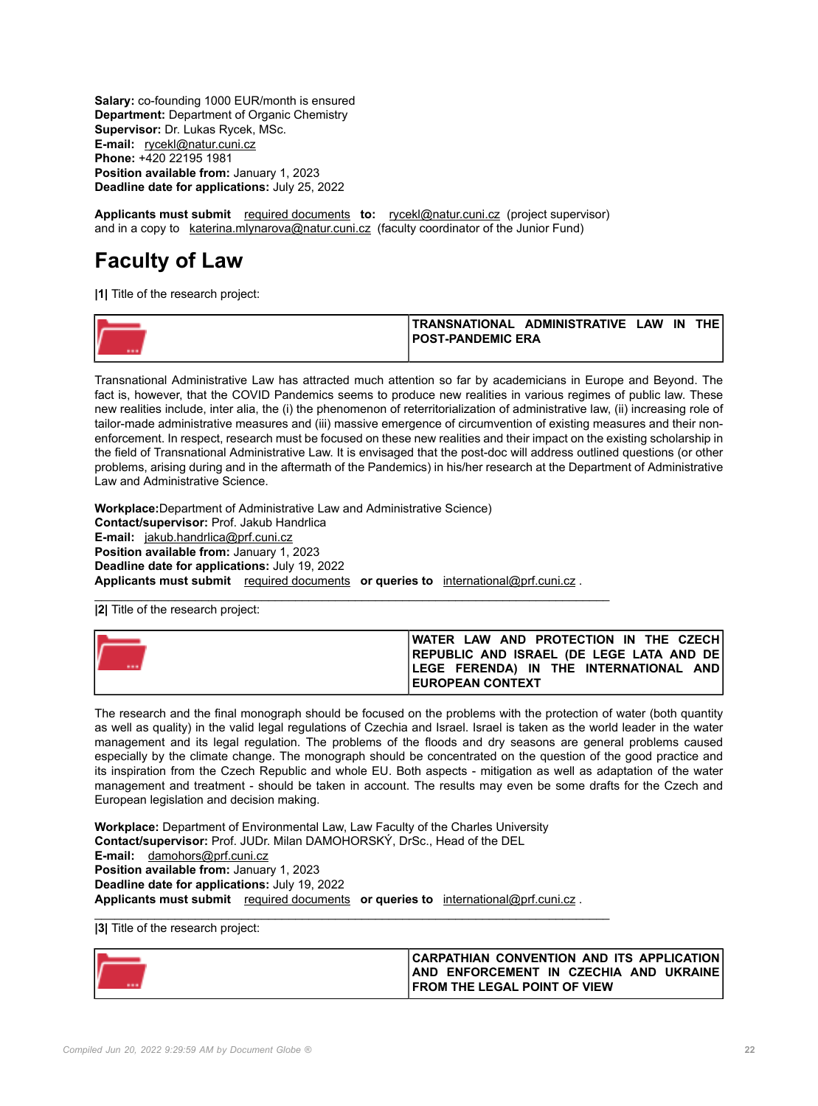**Salary:** co-founding 1000 EUR/month is ensured **Department:** Department of Organic Chemistry **Supervisor:** Dr. Lukas Rycek, MSc. **E-mail:** [rycekl@natur.cuni.cz](mailto:rycekl@natur.cuni.cz) **Phone:** +420 22195 1981 **Position available from:** January 1, 2023 **Deadline date for applications:** July 25, 2022

**Applicants must submit** [required documents](https://cuni.cz/UKEN-178.html#10) **to:** [rycekl@natur.cuni.cz](mailto:rycekl@natur.cuni.cz) (project supervisor) and in a copy to [katerina.mlynarova@natur.cuni.cz](mailto:katerina.mlynarova@natur.cuni.cz) (faculty coordinator of the Junior Fund)

## **Faculty of Law**

**|1|** Title of the research project:

| TRANSNATIONAL ADMINISTRATIVE LAW<br>IN | <b>THE</b> |
|----------------------------------------|------------|
| <b>IPOST-PANDEMIC ERA</b>              |            |
|                                        |            |

Transnational Administrative Law has attracted much attention so far by academicians in Europe and Beyond. The fact is, however, that the COVID Pandemics seems to produce new realities in various regimes of public law. These new realities include, inter alia, the (i) the phenomenon of reterritorialization of administrative law, (ii) increasing role of tailor-made administrative measures and (iii) massive emergence of circumvention of existing measures and their nonenforcement. In respect, research must be focused on these new realities and their impact on the existing scholarship in the field of Transnational Administrative Law. It is envisaged that the post-doc will address outlined questions (or other problems, arising during and in the aftermath of the Pandemics) in his/her research at the Department of Administrative Law and Administrative Science.

**Workplace:**Department of Administrative Law and Administrative Science) **Contact/supervisor:** Prof. Jakub Handrlica **E-mail:** [jakub.handrlica@prf.cuni.cz](mailto:jakub.handrlica@prf.cuni.cz) **Position available from:** January 1, 2023 **Deadline date for applications:** July 19, 2022 **Applicants must submit** [required documents](https://cuni.cz/UKEN-178.html#10) **or queries to** [international@prf.cuni.cz](mailto:international@prf.cuni.cz) .

\_\_\_\_\_\_\_\_\_\_\_\_\_\_\_\_\_\_\_\_\_\_\_\_\_\_\_\_\_\_\_\_\_\_\_\_\_\_\_\_\_\_\_\_\_\_\_\_\_\_\_\_\_\_\_\_\_\_\_\_\_\_\_\_\_\_\_\_\_\_\_\_\_\_\_\_\_ **|2|** Title of the research project:

| IWATER LAW AND PROTECTION IN THE CZECHI                                                     |
|---------------------------------------------------------------------------------------------|
| <b>IREPUBLIC AND ISRAEL (DE LEGE LATA AND DE)</b><br>LEGE FERENDA) IN THE INTERNATIONAL AND |
| <b>IEUROPEAN CONTEXT</b>                                                                    |

The research and the final monograph should be focused on the problems with the protection of water (both quantity as well as quality) in the valid legal regulations of Czechia and Israel. Israel is taken as the world leader in the water management and its legal regulation. The problems of the floods and dry seasons are general problems caused especially by the climate change. The monograph should be concentrated on the question of the good practice and its inspiration from the Czech Republic and whole EU. Both aspects - mitigation as well as adaptation of the water management and treatment - should be taken in account. The results may even be some drafts for the Czech and European legislation and decision making.

**Workplace:** Department of Environmental Law, Law Faculty of the Charles University **Contact/supervisor:** Prof. JUDr. Milan DAMOHORSKÝ, DrSc., Head of the DEL **E-mail:** [damohors@prf.cuni.cz](mailto:damohors@prf.cuni.cz) **Position available from:** January 1, 2023 **Deadline date for applications:** July 19, 2022 **Applicants must submit** [required documents](https://cuni.cz/UKEN-178.html#10) **or queries to** [international@prf.cuni.cz](mailto:international@prf.cuni.cz) .

\_\_\_\_\_\_\_\_\_\_\_\_\_\_\_\_\_\_\_\_\_\_\_\_\_\_\_\_\_\_\_\_\_\_\_\_\_\_\_\_\_\_\_\_\_\_\_\_\_\_\_\_\_\_\_\_\_\_\_\_\_\_\_\_\_\_\_\_\_\_\_\_\_\_\_\_\_ **|3|** Title of the research project:

| <b>CARPATHIAN CONVENTION AND ITS APPLICATION</b> |
|--------------------------------------------------|
| AND ENFORCEMENT IN CZECHIA AND UKRAINE           |
| FROM THE LEGAL POINT OF VIEW                     |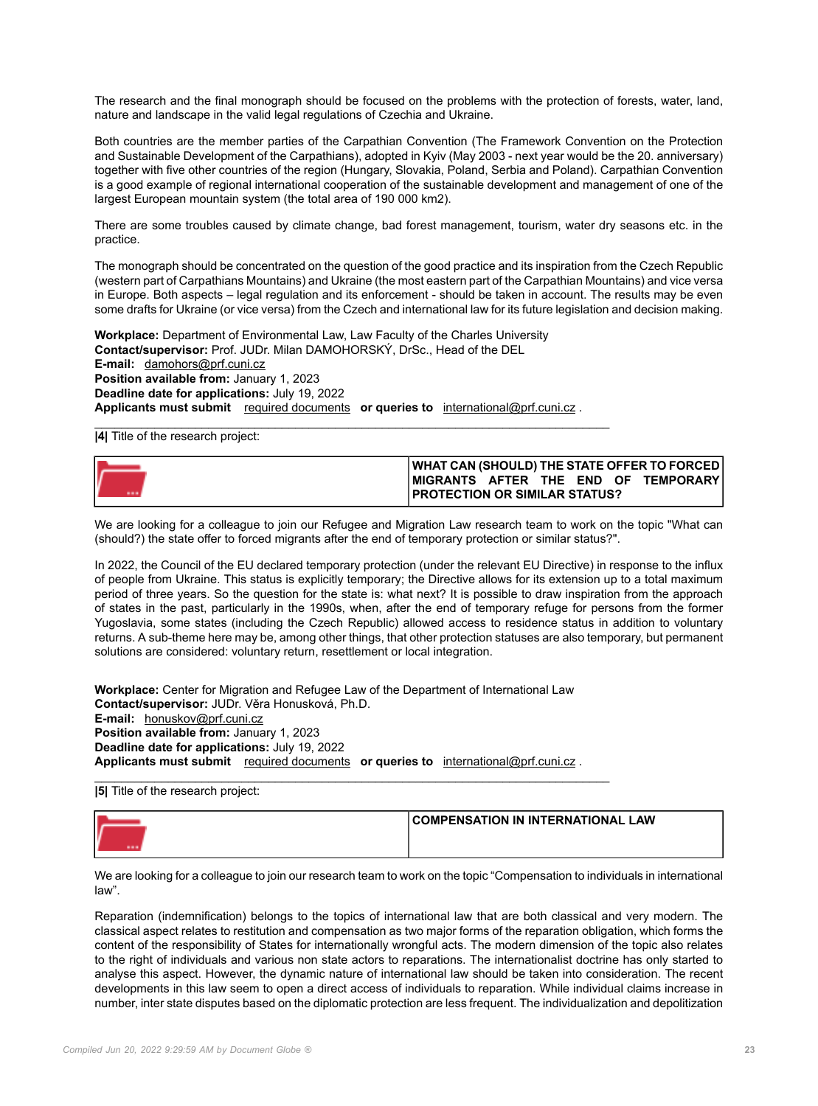The research and the final monograph should be focused on the problems with the protection of forests, water, land, nature and landscape in the valid legal regulations of Czechia and Ukraine.

Both countries are the member parties of the Carpathian Convention (The Framework Convention on the Protection and Sustainable Development of the Carpathians), adopted in Kyiv (May 2003 - next year would be the 20. anniversary) together with five other countries of the region (Hungary, Slovakia, Poland, Serbia and Poland). Carpathian Convention is a good example of regional international cooperation of the sustainable development and management of one of the largest European mountain system (the total area of 190 000 km2).

There are some troubles caused by climate change, bad forest management, tourism, water dry seasons etc. in the practice.

The monograph should be concentrated on the question of the good practice and its inspiration from the Czech Republic (western part of Carpathians Mountains) and Ukraine (the most eastern part of the Carpathian Mountains) and vice versa in Europe. Both aspects – legal regulation and its enforcement - should be taken in account. The results may be even some drafts for Ukraine (or vice versa) from the Czech and international law for its future legislation and decision making.

**Workplace:** Department of Environmental Law, Law Faculty of the Charles University **Contact/supervisor:** Prof. JUDr. Milan DAMOHORSKÝ, DrSc., Head of the DEL **E-mail:** [damohors@prf.cuni.cz](mailto:damohors@prf.cuni.cz) **Position available from:** January 1, 2023 **Deadline date for applications:** July 19, 2022 **Applicants must submit** [required documents](https://cuni.cz/UKEN-178.html#10) **or queries to** [international@prf.cuni.cz](mailto:international@prf.cuni.cz) .

 $\_$  , and the set of the set of the set of the set of the set of the set of the set of the set of the set of the set of the set of the set of the set of the set of the set of the set of the set of the set of the set of th

**|4|** Title of the research project:

| WHAT CAN (SHOULD) THE STATE OFFER TO FORCED |
|---------------------------------------------|
| IMIGRANTS AFTER THE END OF TEMPORARYI       |
| <b>PROTECTION OR SIMILAR STATUS?</b>        |

We are looking for a colleague to join our Refugee and Migration Law research team to work on the topic "What can (should?) the state offer to forced migrants after the end of temporary protection or similar status?".

In 2022, the Council of the EU declared temporary protection (under the relevant EU Directive) in response to the influx of people from Ukraine. This status is explicitly temporary; the Directive allows for its extension up to a total maximum period of three years. So the question for the state is: what next? It is possible to draw inspiration from the approach of states in the past, particularly in the 1990s, when, after the end of temporary refuge for persons from the former Yugoslavia, some states (including the Czech Republic) allowed access to residence status in addition to voluntary returns. A sub-theme here may be, among other things, that other protection statuses are also temporary, but permanent solutions are considered: voluntary return, resettlement or local integration.

**Workplace:** Center for Migration and Refugee Law of the Department of International Law **Contact/supervisor:** JUDr. Věra Honusková, Ph.D. **E-mail:** [honuskov@prf.cuni.cz](mailto:honuskov@prf.cuni.cz) **Position available from:** January 1, 2023 **Deadline date for applications:** July 19, 2022 **Applicants must submit** [required documents](https://cuni.cz/UKEN-178.html#10) **or queries to** [international@prf.cuni.cz](mailto:international@prf.cuni.cz) .

\_\_\_\_\_\_\_\_\_\_\_\_\_\_\_\_\_\_\_\_\_\_\_\_\_\_\_\_\_\_\_\_\_\_\_\_\_\_\_\_\_\_\_\_\_\_\_\_\_\_\_\_\_\_\_\_\_\_\_\_\_\_\_\_\_\_\_\_\_\_\_\_\_\_\_\_\_ **|5|** Title of the research project:

| COMPENSATION IN INTERNATIONAL LAW |
|-----------------------------------|
|                                   |

We are looking for a colleague to join our research team to work on the topic "Compensation to individuals in international law".

Reparation (indemnification) belongs to the topics of international law that are both classical and very modern. The classical aspect relates to restitution and compensation as two major forms of the reparation obligation, which forms the content of the responsibility of States for internationally wrongful acts. The modern dimension of the topic also relates to the right of individuals and various non state actors to reparations. The internationalist doctrine has only started to analyse this aspect. However, the dynamic nature of international law should be taken into consideration. The recent developments in this law seem to open a direct access of individuals to reparation. While individual claims increase in number, inter state disputes based on the diplomatic protection are less frequent. The individualization and depolitization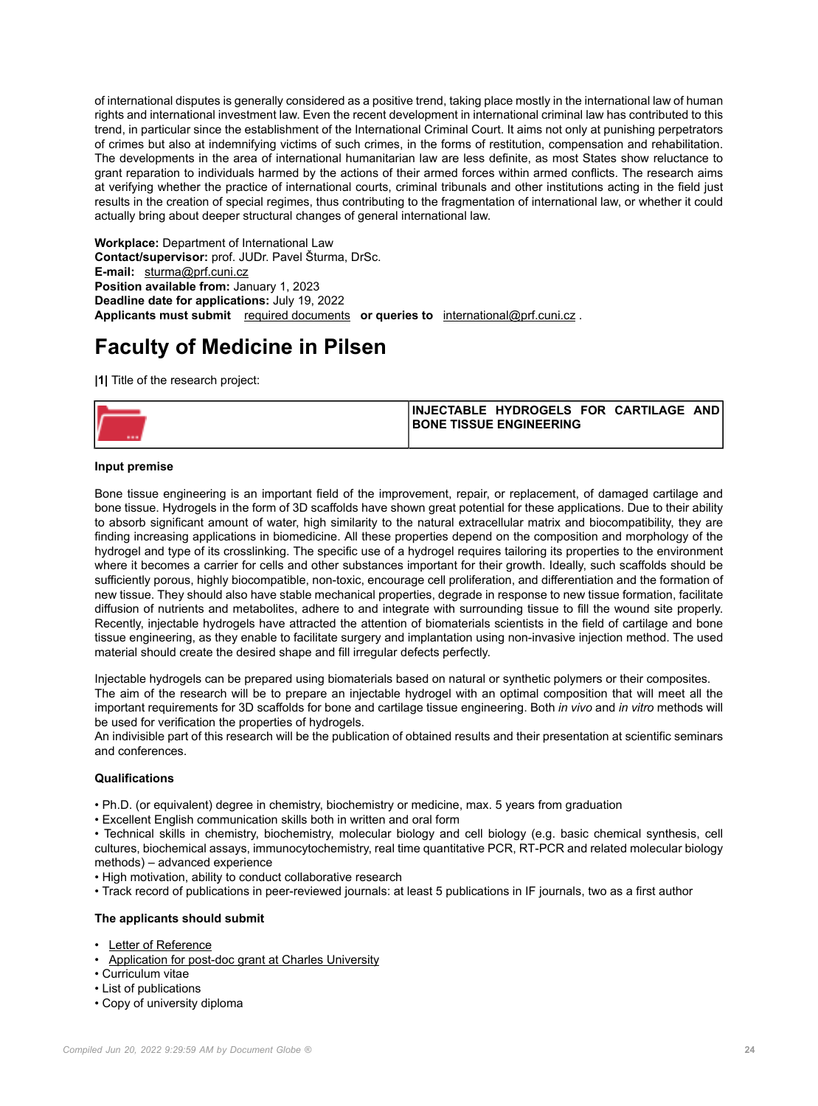of international disputes is generally considered as a positive trend, taking place mostly in the international law of human rights and international investment law. Even the recent development in international criminal law has contributed to this trend, in particular since the establishment of the International Criminal Court. It aims not only at punishing perpetrators of crimes but also at indemnifying victims of such crimes, in the forms of restitution, compensation and rehabilitation. The developments in the area of international humanitarian law are less definite, as most States show reluctance to grant reparation to individuals harmed by the actions of their armed forces within armed conflicts. The research aims at verifying whether the practice of international courts, criminal tribunals and other institutions acting in the field just results in the creation of special regimes, thus contributing to the fragmentation of international law, or whether it could actually bring about deeper structural changes of general international law.

**Workplace:** Department of International Law **Contact/supervisor:** prof. JUDr. Pavel Šturma, DrSc. **E-mail:** [sturma@prf.cuni.cz](mailto:sturma@prf.cuni.cz) **Position available from:** January 1, 2023 **Deadline date for applications:** July 19, 2022 **Applicants must submit** [required documents](https://cuni.cz/UKEN-178.html#10) **or queries to** [international@prf.cuni.cz](mailto:international@prf.cuni.cz) .

## **Faculty of Medicine in Pilsen**

**|1|** Title of the research project:

|  | INJECTABLE HYDROGELS FOR CARTILAGE AND |  |  |
|--|----------------------------------------|--|--|
|  | <b>IBONE TISSUE ENGINEERING</b>        |  |  |
|  |                                        |  |  |

## **Input premise**

Bone tissue engineering is an important field of the improvement, repair, or replacement, of damaged cartilage and bone tissue. Hydrogels in the form of 3D scaffolds have shown great potential for these applications. Due to their ability to absorb significant amount of water, high similarity to the natural extracellular matrix and biocompatibility, they are finding increasing applications in biomedicine. All these properties depend on the composition and morphology of the hydrogel and type of its crosslinking. The specific use of a hydrogel requires tailoring its properties to the environment where it becomes a carrier for cells and other substances important for their growth. Ideally, such scaffolds should be sufficiently porous, highly biocompatible, non-toxic, encourage cell proliferation, and differentiation and the formation of new tissue. They should also have stable mechanical properties, degrade in response to new tissue formation, facilitate diffusion of nutrients and metabolites, adhere to and integrate with surrounding tissue to fill the wound site properly. Recently, injectable hydrogels have attracted the attention of biomaterials scientists in the field of cartilage and bone tissue engineering, as they enable to facilitate surgery and implantation using non-invasive injection method. The used material should create the desired shape and fill irregular defects perfectly.

Injectable hydrogels can be prepared using biomaterials based on natural or synthetic polymers or their composites. The aim of the research will be to prepare an injectable hydrogel with an optimal composition that will meet all the important requirements for 3D scaffolds for bone and cartilage tissue engineering. Both *in vivo* and *in vitro* methods will be used for verification the properties of hydrogels.

An indivisible part of this research will be the publication of obtained results and their presentation at scientific seminars and conferences.

## **Qualifications**

- Ph.D. (or equivalent) degree in chemistry, biochemistry or medicine, max. 5 years from graduation
- Excellent English communication skills both in written and oral form

• Technical skills in chemistry, biochemistry, molecular biology and cell biology (e.g. basic chemical synthesis, cell cultures, biochemical assays, immunocytochemistry, real time quantitative PCR, RT-PCR and related molecular biology methods) – advanced experience

- High motivation, ability to conduct collaborative research
- Track record of publications in peer-reviewed journals: at least 5 publications in IF journals, two as a first author

## **The applicants should submit**

- [Letter of Reference](https://cuni.cz/UK-3887-version1-priloha2_letter_of_reference_new.docx)
- [Application for post-doc grant at Charles University](https://cuni.cz/UK-3887-version1-priloha1_application_new.docx)
- Curriculum vitae
- List of publications
- Copy of university diploma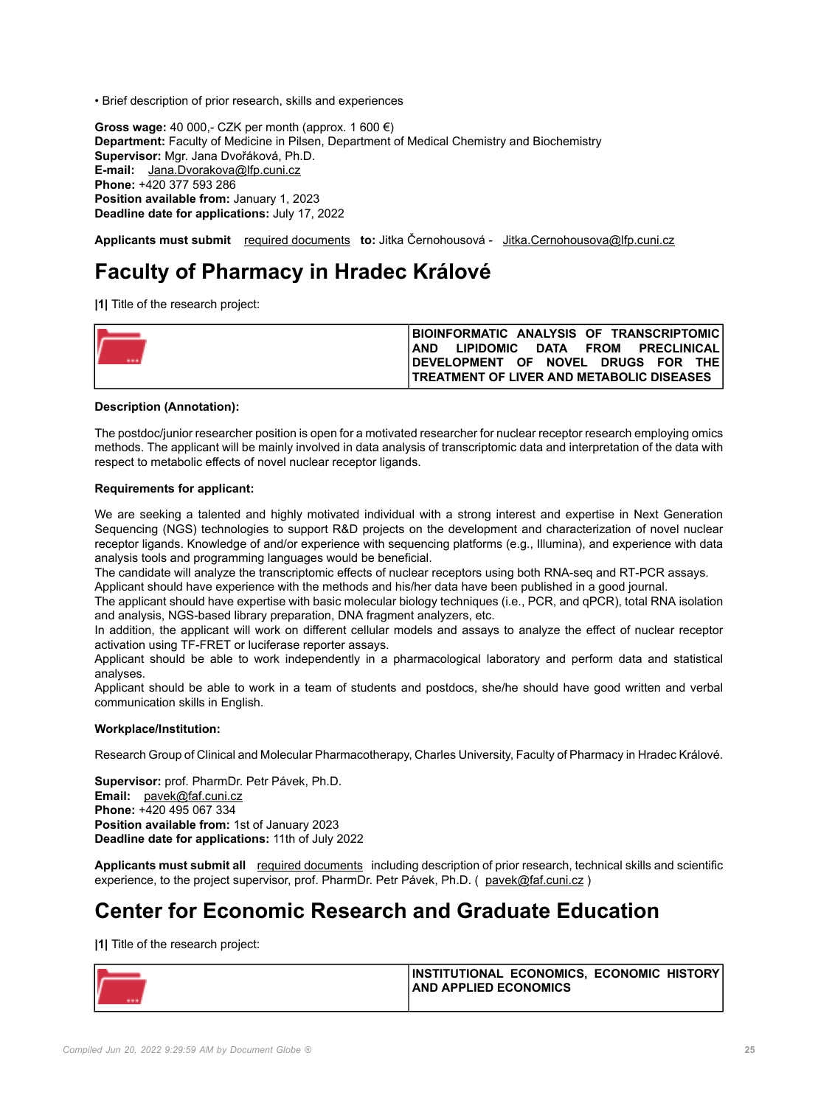• Brief description of prior research, skills and experiences

**Gross wage:** 40 000,- CZK per month (approx. 1 600 €) **Department:** Faculty of Medicine in Pilsen, Department of Medical Chemistry and Biochemistry **Supervisor:** Mgr. Jana Dvořáková, Ph.D. **E-mail:** [Jana.Dvorakova@lfp.cuni.cz](mailto:Jana.Dvorakova@lfp.cuni.cz) **Phone:** +420 377 593 286 **Position available from:** January 1, 2023 **Deadline date for applications:** July 17, 2022

**Applicants must submit** [required documents](https://cuni.cz/UKEN-178.html#10) **to:** Jitka Černohousová - [Jitka.Cernohousova@lfp.cuni.cz](mailto:Jitka.Cernohousova@lfp.cuni.cz)

## **Faculty of Pharmacy in Hradec Králové**

**|1|** Title of the research project:

| BIOINFORMATIC ANALYSIS OF TRANSCRIPTOMIC                                                |
|-----------------------------------------------------------------------------------------|
| LIPIDOMIC DATA FROM PRECLINICAL<br><b>AND</b>                                           |
| DEVELOPMENT OF NOVEL DRUGS FOR THET<br><b>TREATMENT OF LIVER AND METABOLIC DISEASES</b> |

### **Description (Annotation):**

The postdoc/junior researcher position is open for a motivated researcher for nuclear receptor research employing omics methods. The applicant will be mainly involved in data analysis of transcriptomic data and interpretation of the data with respect to metabolic effects of novel nuclear receptor ligands.

### **Requirements for applicant:**

We are seeking a talented and highly motivated individual with a strong interest and expertise in Next Generation Sequencing (NGS) technologies to support R&D projects on the development and characterization of novel nuclear receptor ligands. Knowledge of and/or experience with sequencing platforms (e.g., Illumina), and experience with data analysis tools and programming languages would be beneficial.

The candidate will analyze the transcriptomic effects of nuclear receptors using both RNA-seq and RT-PCR assays.

Applicant should have experience with the methods and his/her data have been published in a good journal.

The applicant should have expertise with basic molecular biology techniques (i.e., PCR, and qPCR), total RNA isolation and analysis, NGS-based library preparation, DNA fragment analyzers, etc.

In addition, the applicant will work on different cellular models and assays to analyze the effect of nuclear receptor activation using TF-FRET or luciferase reporter assays.

Applicant should be able to work independently in a pharmacological laboratory and perform data and statistical analyses.

Applicant should be able to work in a team of students and postdocs, she/he should have good written and verbal communication skills in English.

### **Workplace/Institution:**

Research Group of Clinical and Molecular Pharmacotherapy, Charles University, Faculty of Pharmacy in Hradec Králové.

**Supervisor:** prof. PharmDr. Petr Pávek, Ph.D. **Email:** [pavek@faf.cuni.cz](mailto:pavek@faf.cuni.cz) **Phone:** +420 495 067 334 **Position available from:** 1st of January 2023 **Deadline date for applications:** 11th of July 2022

**Applicants must submit all** [required documents](https://cuni.cz/UKEN-178.html#10) including description of prior research, technical skills and scientific experience, to the project supervisor, prof. PharmDr. Petr Pávek, Ph.D. ( [pavek@faf.cuni.cz](mailto:pavek@faf.cuni.cz) )

## **Center for Economic Research and Graduate Education**

**|1|** Title of the research project:

| INSTITUTIONAL ECONOMICS. ECONOMIC HISTORY<br><b>AND APPLIED ECONOMICS</b> |
|---------------------------------------------------------------------------|
|                                                                           |